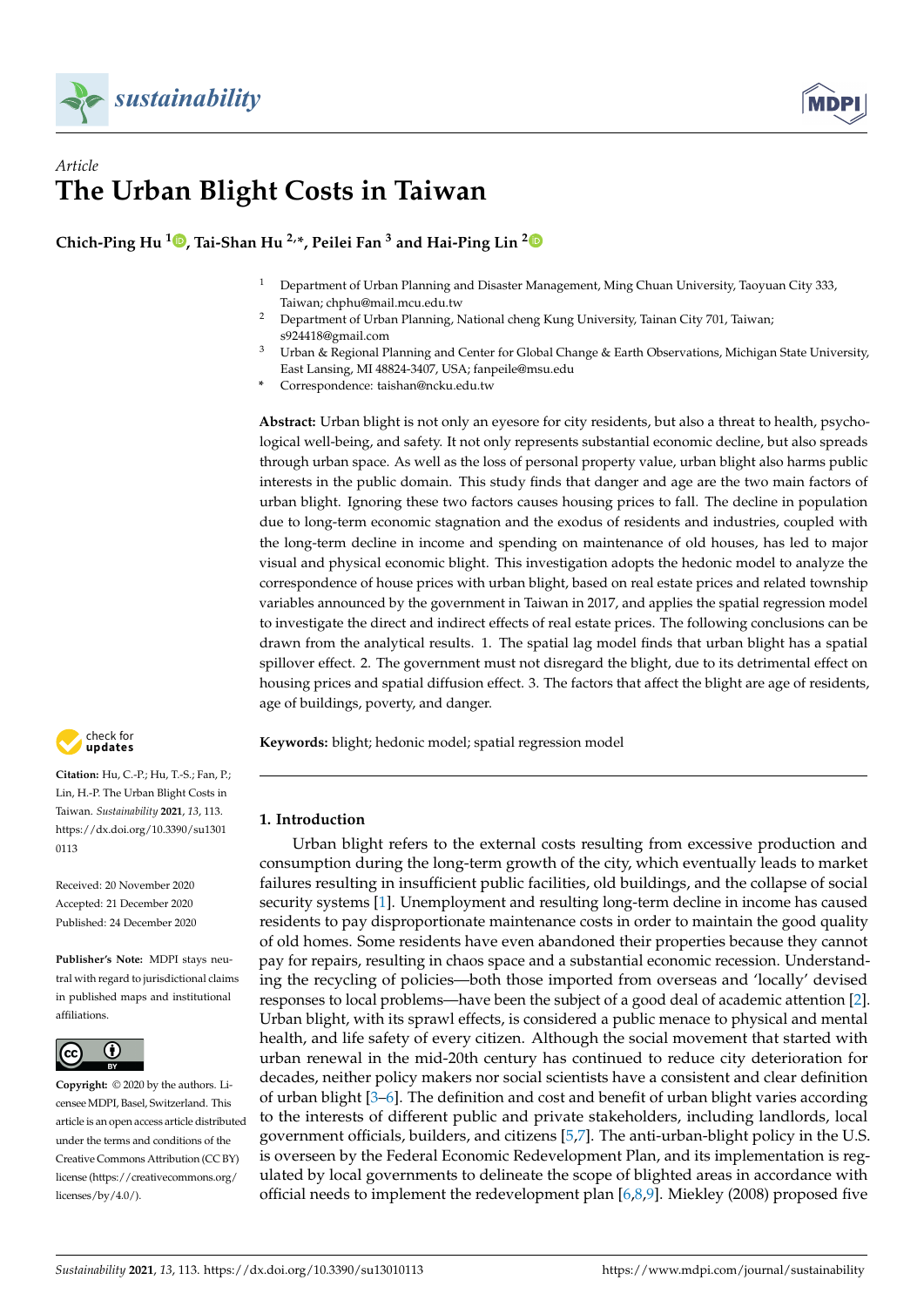



# *Article* **The Urban Blight Costs in Taiwan**

**Chich-Ping Hu <sup>1</sup> [,](https://orcid.org/0000-0002-0864-4850) Tai-Shan Hu 2,\*, Peilei Fan <sup>3</sup> and Hai-Ping Lin [2](https://orcid.org/0000-0002-2400-3586)**

- <sup>1</sup> Department of Urban Planning and Disaster Management, Ming Chuan University, Taoyuan City 333, Taiwan; chphu@mail.mcu.edu.tw
- <sup>2</sup> Department of Urban Planning, National cheng Kung University, Tainan City 701, Taiwan; s924418@gmail.com
- $3$  Urban & Regional Planning and Center for Global Change & Earth Observations, Michigan State University, East Lansing, MI 48824-3407, USA; fanpeile@msu.edu
- **\*** Correspondence: taishan@ncku.edu.tw

**Abstract:** Urban blight is not only an eyesore for city residents, but also a threat to health, psychological well-being, and safety. It not only represents substantial economic decline, but also spreads through urban space. As well as the loss of personal property value, urban blight also harms public interests in the public domain. This study finds that danger and age are the two main factors of urban blight. Ignoring these two factors causes housing prices to fall. The decline in population due to long-term economic stagnation and the exodus of residents and industries, coupled with the long-term decline in income and spending on maintenance of old houses, has led to major visual and physical economic blight. This investigation adopts the hedonic model to analyze the correspondence of house prices with urban blight, based on real estate prices and related township variables announced by the government in Taiwan in 2017, and applies the spatial regression model to investigate the direct and indirect effects of real estate prices. The following conclusions can be drawn from the analytical results. 1. The spatial lag model finds that urban blight has a spatial spillover effect. 2. The government must not disregard the blight, due to its detrimental effect on housing prices and spatial diffusion effect. 3. The factors that affect the blight are age of residents, age of buildings, poverty, and danger.

**Keywords:** blight; hedonic model; spatial regression model

## **1. Introduction**

Urban blight refers to the external costs resulting from excessive production and consumption during the long-term growth of the city, which eventually leads to market failures resulting in insufficient public facilities, old buildings, and the collapse of social security systems [\[1\]](#page-13-0). Unemployment and resulting long-term decline in income has caused residents to pay disproportionate maintenance costs in order to maintain the good quality of old homes. Some residents have even abandoned their properties because they cannot pay for repairs, resulting in chaos space and a substantial economic recession. Understanding the recycling of policies—both those imported from overseas and 'locally' devised responses to local problems—have been the subject of a good deal of academic attention [\[2\]](#page-13-1). Urban blight, with its sprawl effects, is considered a public menace to physical and mental health, and life safety of every citizen. Although the social movement that started with urban renewal in the mid-20th century has continued to reduce city deterioration for decades, neither policy makers nor social scientists have a consistent and clear definition of urban blight [\[3–](#page-13-2)[6\]](#page-13-3). The definition and cost and benefit of urban blight varies according to the interests of different public and private stakeholders, including landlords, local government officials, builders, and citizens [\[5](#page-13-4)[,7\]](#page-13-5). The anti-urban-blight policy in the U.S. is overseen by the Federal Economic Redevelopment Plan, and its implementation is regulated by local governments to delineate the scope of blighted areas in accordance with official needs to implement the redevelopment plan  $[6,8,9]$  $[6,8,9]$  $[6,8,9]$ . Miekley (2008) proposed five



**Citation:** Hu, C.-P.; Hu, T.-S.; Fan, P.; Lin, H.-P. The Urban Blight Costs in Taiwan. *Sustainability* **2021**, *13*, 113. [https://dx.doi.org/10.3390/su1301](https://dx.doi.org/10.3390/su13010113) [0113](https://dx.doi.org/10.3390/su13010113)

Received: 20 November 2020 Accepted: 21 December 2020 Published: 24 December 2020

**Publisher's Note:** MDPI stays neutral with regard to jurisdictional claims in published maps and institutional affiliations.



**Copyright:** © 2020 by the authors. Licensee MDPI, Basel, Switzerland. This article is an open access article distributed under the terms and conditions of the Creative Commons Attribution (CC BY) license [\(https://creativecommons.org/](https://creativecommons.org/licenses/by/4.0/) [licenses/by/4.0/\)](https://creativecommons.org/licenses/by/4.0/).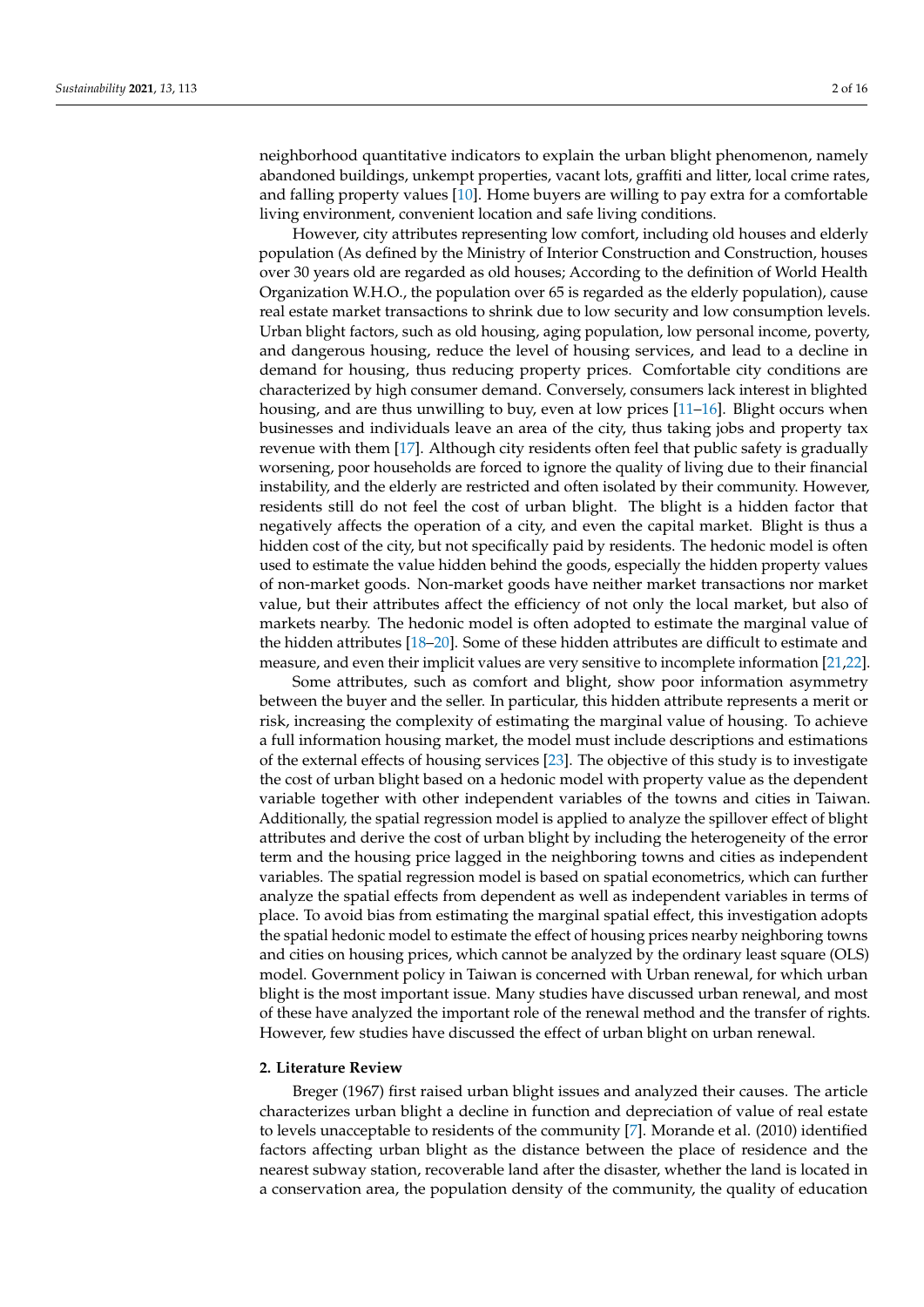neighborhood quantitative indicators to explain the urban blight phenomenon, namely abandoned buildings, unkempt properties, vacant lots, graffiti and litter, local crime rates, and falling property values [\[10\]](#page-13-8). Home buyers are willing to pay extra for a comfortable living environment, convenient location and safe living conditions.

However, city attributes representing low comfort, including old houses and elderly population (As defined by the Ministry of Interior Construction and Construction, houses over 30 years old are regarded as old houses; According to the definition of World Health Organization W.H.O., the population over 65 is regarded as the elderly population), cause real estate market transactions to shrink due to low security and low consumption levels. Urban blight factors, such as old housing, aging population, low personal income, poverty, and dangerous housing, reduce the level of housing services, and lead to a decline in demand for housing, thus reducing property prices. Comfortable city conditions are characterized by high consumer demand. Conversely, consumers lack interest in blighted housing, and are thus unwilling to buy, even at low prices [\[11](#page-13-9)[–16\]](#page-13-10). Blight occurs when businesses and individuals leave an area of the city, thus taking jobs and property tax revenue with them [\[17\]](#page-13-11). Although city residents often feel that public safety is gradually worsening, poor households are forced to ignore the quality of living due to their financial instability, and the elderly are restricted and often isolated by their community. However, residents still do not feel the cost of urban blight. The blight is a hidden factor that negatively affects the operation of a city, and even the capital market. Blight is thus a hidden cost of the city, but not specifically paid by residents. The hedonic model is often used to estimate the value hidden behind the goods, especially the hidden property values of non-market goods. Non-market goods have neither market transactions nor market value, but their attributes affect the efficiency of not only the local market, but also of markets nearby. The hedonic model is often adopted to estimate the marginal value of the hidden attributes [\[18–](#page-13-12)[20\]](#page-13-13). Some of these hidden attributes are difficult to estimate and measure, and even their implicit values are very sensitive to incomplete information [\[21](#page-13-14)[,22\]](#page-13-15).

Some attributes, such as comfort and blight, show poor information asymmetry between the buyer and the seller. In particular, this hidden attribute represents a merit or risk, increasing the complexity of estimating the marginal value of housing. To achieve a full information housing market, the model must include descriptions and estimations of the external effects of housing services [\[23\]](#page-13-16). The objective of this study is to investigate the cost of urban blight based on a hedonic model with property value as the dependent variable together with other independent variables of the towns and cities in Taiwan. Additionally, the spatial regression model is applied to analyze the spillover effect of blight attributes and derive the cost of urban blight by including the heterogeneity of the error term and the housing price lagged in the neighboring towns and cities as independent variables. The spatial regression model is based on spatial econometrics, which can further analyze the spatial effects from dependent as well as independent variables in terms of place. To avoid bias from estimating the marginal spatial effect, this investigation adopts the spatial hedonic model to estimate the effect of housing prices nearby neighboring towns and cities on housing prices, which cannot be analyzed by the ordinary least square (OLS) model. Government policy in Taiwan is concerned with Urban renewal, for which urban blight is the most important issue. Many studies have discussed urban renewal, and most of these have analyzed the important role of the renewal method and the transfer of rights. However, few studies have discussed the effect of urban blight on urban renewal.

#### **2. Literature Review**

Breger (1967) first raised urban blight issues and analyzed their causes. The article characterizes urban blight a decline in function and depreciation of value of real estate to levels unacceptable to residents of the community [\[7\]](#page-13-5). Morande et al. (2010) identified factors affecting urban blight as the distance between the place of residence and the nearest subway station, recoverable land after the disaster, whether the land is located in a conservation area, the population density of the community, the quality of education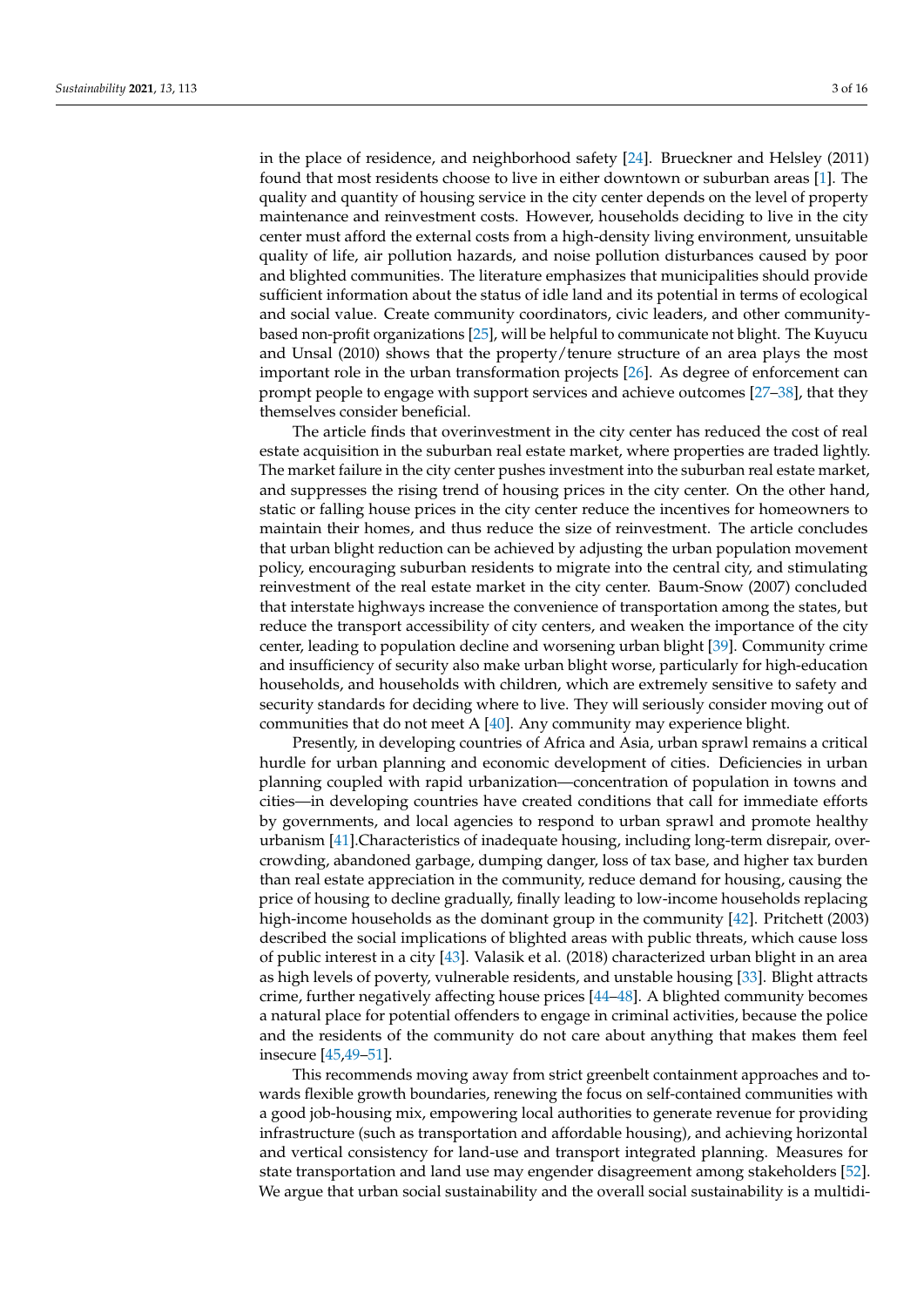in the place of residence, and neighborhood safety [\[24\]](#page-14-0). Brueckner and Helsley (2011) found that most residents choose to live in either downtown or suburban areas [\[1\]](#page-13-0). The quality and quantity of housing service in the city center depends on the level of property maintenance and reinvestment costs. However, households deciding to live in the city center must afford the external costs from a high-density living environment, unsuitable quality of life, air pollution hazards, and noise pollution disturbances caused by poor and blighted communities. The literature emphasizes that municipalities should provide sufficient information about the status of idle land and its potential in terms of ecological and social value. Create community coordinators, civic leaders, and other communitybased non-profit organizations [\[25\]](#page-14-1), will be helpful to communicate not blight. The Kuyucu and Unsal (2010) shows that the property/tenure structure of an area plays the most important role in the urban transformation projects [\[26\]](#page-14-2). As degree of enforcement can prompt people to engage with support services and achieve outcomes [\[27](#page-14-3)[–38\]](#page-14-4), that they themselves consider beneficial.

The article finds that overinvestment in the city center has reduced the cost of real estate acquisition in the suburban real estate market, where properties are traded lightly. The market failure in the city center pushes investment into the suburban real estate market, and suppresses the rising trend of housing prices in the city center. On the other hand, static or falling house prices in the city center reduce the incentives for homeowners to maintain their homes, and thus reduce the size of reinvestment. The article concludes that urban blight reduction can be achieved by adjusting the urban population movement policy, encouraging suburban residents to migrate into the central city, and stimulating reinvestment of the real estate market in the city center. Baum-Snow (2007) concluded that interstate highways increase the convenience of transportation among the states, but reduce the transport accessibility of city centers, and weaken the importance of the city center, leading to population decline and worsening urban blight [\[39\]](#page-14-5). Community crime and insufficiency of security also make urban blight worse, particularly for high-education households, and households with children, which are extremely sensitive to safety and security standards for deciding where to live. They will seriously consider moving out of communities that do not meet A [\[40\]](#page-14-6). Any community may experience blight.

Presently, in developing countries of Africa and Asia, urban sprawl remains a critical hurdle for urban planning and economic development of cities. Deficiencies in urban planning coupled with rapid urbanization—concentration of population in towns and cities—in developing countries have created conditions that call for immediate efforts by governments, and local agencies to respond to urban sprawl and promote healthy urbanism [\[41\]](#page-14-7).Characteristics of inadequate housing, including long-term disrepair, overcrowding, abandoned garbage, dumping danger, loss of tax base, and higher tax burden than real estate appreciation in the community, reduce demand for housing, causing the price of housing to decline gradually, finally leading to low-income households replacing high-income households as the dominant group in the community [\[42\]](#page-14-8). Pritchett (2003) described the social implications of blighted areas with public threats, which cause loss of public interest in a city [\[43\]](#page-14-9). Valasik et al. (2018) characterized urban blight in an area as high levels of poverty, vulnerable residents, and unstable housing [\[33\]](#page-14-10). Blight attracts crime, further negatively affecting house prices [\[44–](#page-14-11)[48\]](#page-14-12). A blighted community becomes a natural place for potential offenders to engage in criminal activities, because the police and the residents of the community do not care about anything that makes them feel insecure [\[45,](#page-14-13)[49](#page-14-14)[–51\]](#page-14-15).

This recommends moving away from strict greenbelt containment approaches and towards flexible growth boundaries, renewing the focus on self-contained communities with a good job-housing mix, empowering local authorities to generate revenue for providing infrastructure (such as transportation and affordable housing), and achieving horizontal and vertical consistency for land-use and transport integrated planning. Measures for state transportation and land use may engender disagreement among stakeholders [\[52\]](#page-14-16). We argue that urban social sustainability and the overall social sustainability is a multidi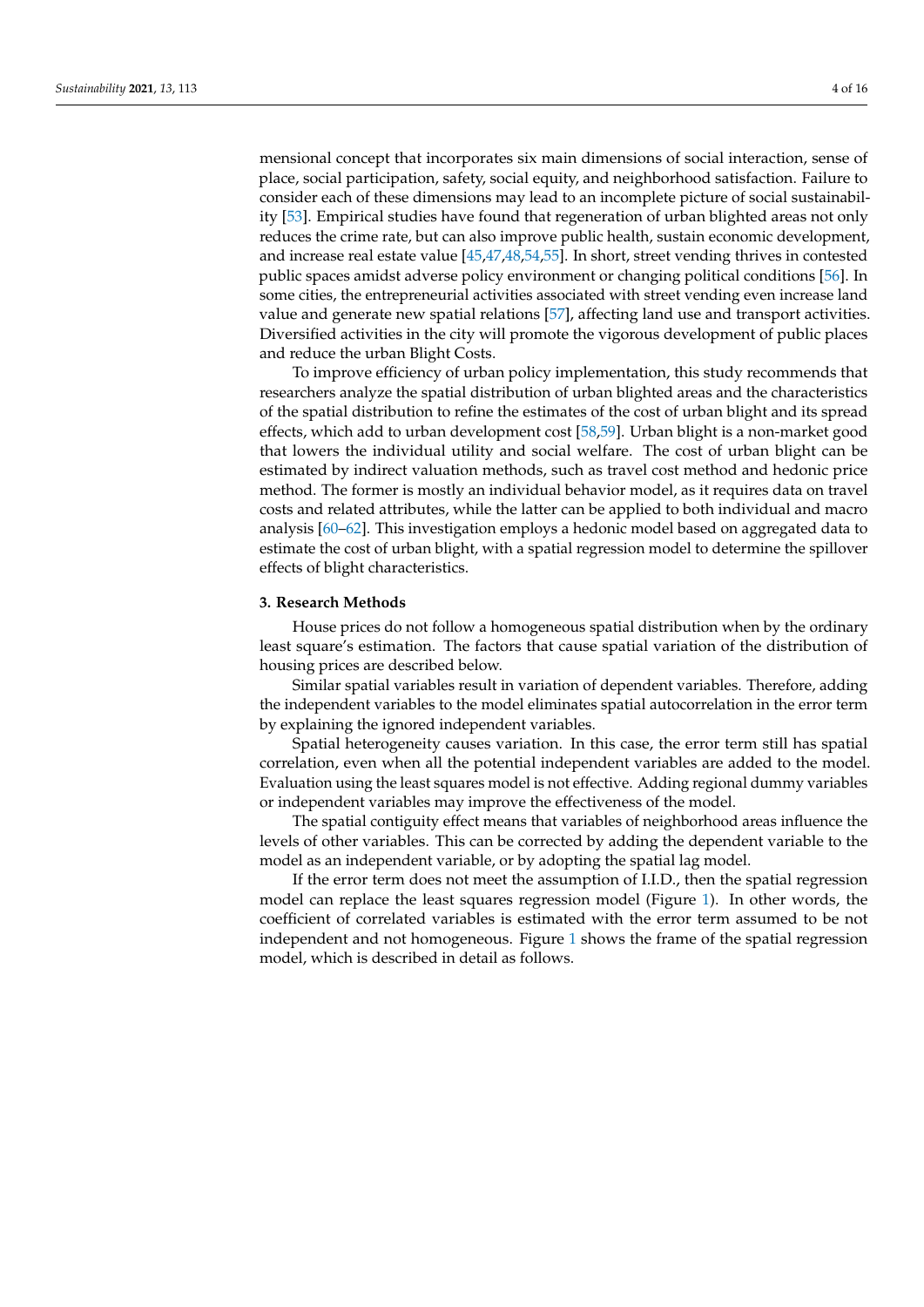mensional concept that incorporates six main dimensions of social interaction, sense of place, social participation, safety, social equity, and neighborhood satisfaction. Failure to consider each of these dimensions may lead to an incomplete picture of social sustainability [\[53\]](#page-14-17). Empirical studies have found that regeneration of urban blighted areas not only reduces the crime rate, but can also improve public health, sustain economic development, and increase real estate value [\[45,](#page-14-13)[47,](#page-14-18)[48,](#page-14-12)[54,](#page-14-19)[55\]](#page-15-0). In short, street vending thrives in contested public spaces amidst adverse policy environment or changing political conditions [\[56\]](#page-15-1). In some cities, the entrepreneurial activities associated with street vending even increase land value and generate new spatial relations [\[57\]](#page-15-2), affecting land use and transport activities. Diversified activities in the city will promote the vigorous development of public places and reduce the urban Blight Costs.

To improve efficiency of urban policy implementation, this study recommends that researchers analyze the spatial distribution of urban blighted areas and the characteristics of the spatial distribution to refine the estimates of the cost of urban blight and its spread effects, which add to urban development cost [\[58](#page-15-3)[,59\]](#page-15-4). Urban blight is a non-market good that lowers the individual utility and social welfare. The cost of urban blight can be estimated by indirect valuation methods, such as travel cost method and hedonic price method. The former is mostly an individual behavior model, as it requires data on travel costs and related attributes, while the latter can be applied to both individual and macro analysis [\[60](#page-15-5)[–62\]](#page-15-6). This investigation employs a hedonic model based on aggregated data to estimate the cost of urban blight, with a spatial regression model to determine the spillover effects of blight characteristics.

### **3. Research Methods**

House prices do not follow a homogeneous spatial distribution when by the ordinary least square's estimation. The factors that cause spatial variation of the distribution of housing prices are described below.

Similar spatial variables result in variation of dependent variables. Therefore, adding the independent variables to the model eliminates spatial autocorrelation in the error term by explaining the ignored independent variables.

Spatial heterogeneity causes variation. In this case, the error term still has spatial correlation, even when all the potential independent variables are added to the model. Evaluation using the least squares model is not effective. Adding regional dummy variables or independent variables may improve the effectiveness of the model.

The spatial contiguity effect means that variables of neighborhood areas influence the levels of other variables. This can be corrected by adding the dependent variable to the model as an independent variable, or by adopting the spatial lag model.

If the error term does not meet the assumption of I.I.D., then the spatial regression model can replace the least squares regression model (Figure [1\)](#page-4-0). In other words, the coefficient of correlated variables is estimated with the error term assumed to be not independent and not homogeneous. Figure [1](#page-4-0) shows the frame of the spatial regression model, which is described in detail as follows.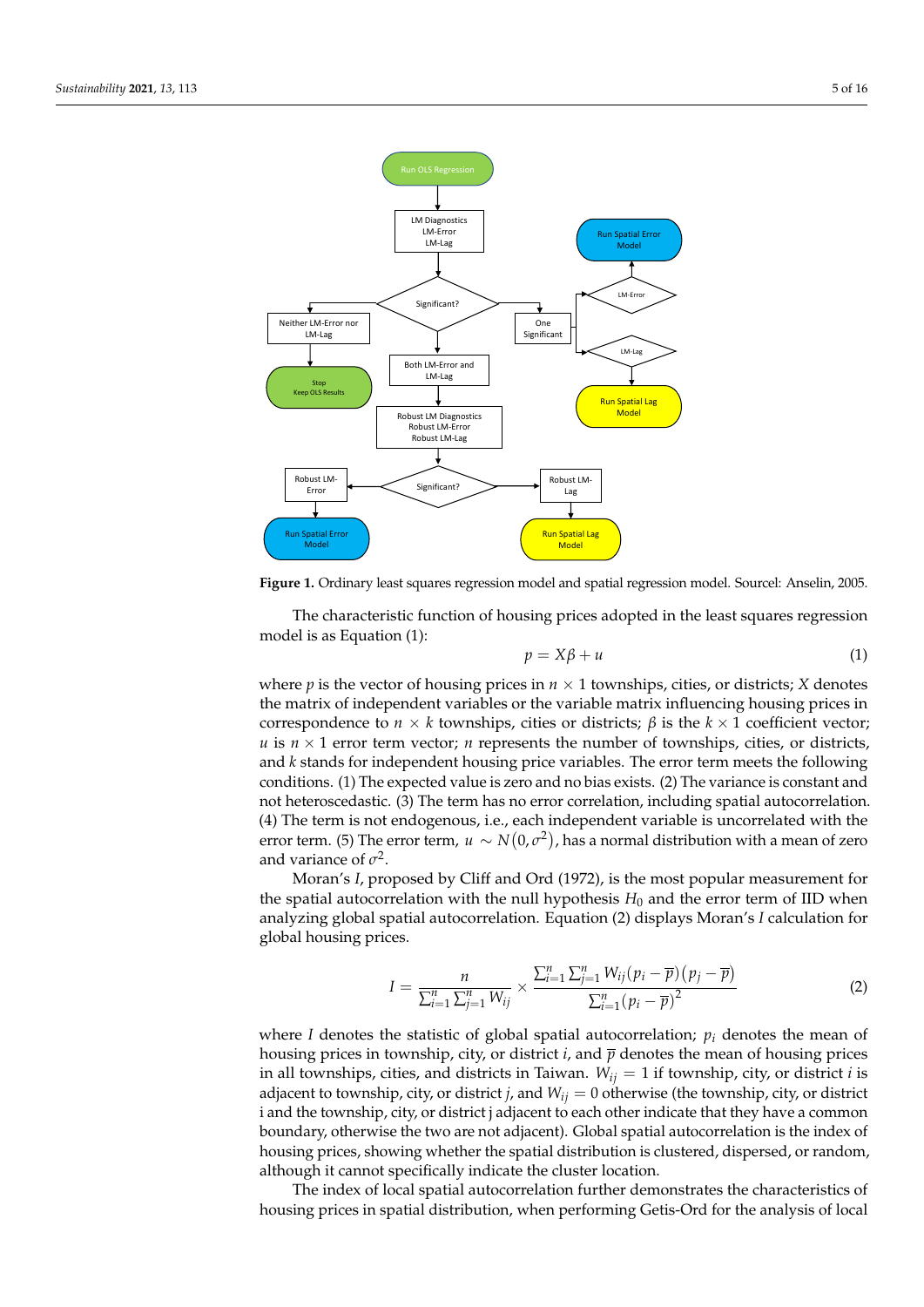<span id="page-4-0"></span>

**Figure 1.** Ordinary least squares regression model and spatial regression model. Sourcel: Anselin, **Figure 1.** Ordinary least squares regression model and spatial regression model. Sourcel: Anselin, 2005.

model is as Equation **(1)**: The characteristic function of housing prices adopted in the least squares regression

$$
p = X\beta + u \tag{1}
$$

where  $p$  is the vector of housing prices in  $n \times 1$  townships, cities, or districts; *X* denotes the matrix of independent variables or the variable matrix influencing housing prices in correspondence to *n* × *k* townships, cities or districts;  $β$  is the  $k \times 1$  coefficient vector;  $u$  is  $n \times 1$  error term vector; *n* represents the number of townships, cities, or districts, and *k* stands for independent housing price variables. The error term meets the following conditions. (1) The expected value is zero and no bias exists. (2) The variance is constant and not heteroscedastic. (3) The term has no error correlation, including spatial autocorrelation. (4) The term is not endogenous, i.e., each independent variable is uncorrelated with the error term. (5) The error term,  $u \sim N(0,\sigma^2)$ , has a normal distribution with a mean of zero and variance of  $\sigma^2$ .

Moran's *I*, proposed by Cliff and Ord (1972), is the most popular measurement for the spatial autocorrelation with the null hypothesis  $H_0$  and the error term of IID when analyzing global spatial autocorrelation. Equation (2) displays Moran's *I* calculation for global housing prices.

$$
I = \frac{n}{\sum_{i=1}^{n} \sum_{j=1}^{n} W_{ij}} \times \frac{\sum_{i=1}^{n} \sum_{j=1}^{n} W_{ij} (p_i - \overline{p}) (p_j - \overline{p})}{\sum_{i=1}^{n} (p_i - \overline{p})^2}
$$
(2)

where *I* denotes the statistic of global spatial autocorrelation; *p<sup>i</sup>* denotes the mean of housing prices in township, city, or district *i*, and  $\bar{p}$  denotes the mean of housing prices in all townships, cities, and districts in Taiwan.  $W_{ij} = 1$  if township, city, or district *i* is adjacent to township, city, or district *j*, and *Wij* = 0 otherwise (the township, city, or district i and the township, city, or district j adjacent to each other indicate that they have a common boundary, otherwise the two are not adjacent). Global spatial autocorrelation is the index of housing prices, showing whether the spatial distribution is clustered, dispersed, or random, although it cannot specifically indicate the cluster location.

The index of local spatial autocorrelation further demonstrates the characteristics of housing prices in spatial distribution, when performing Getis-Ord for the analysis of local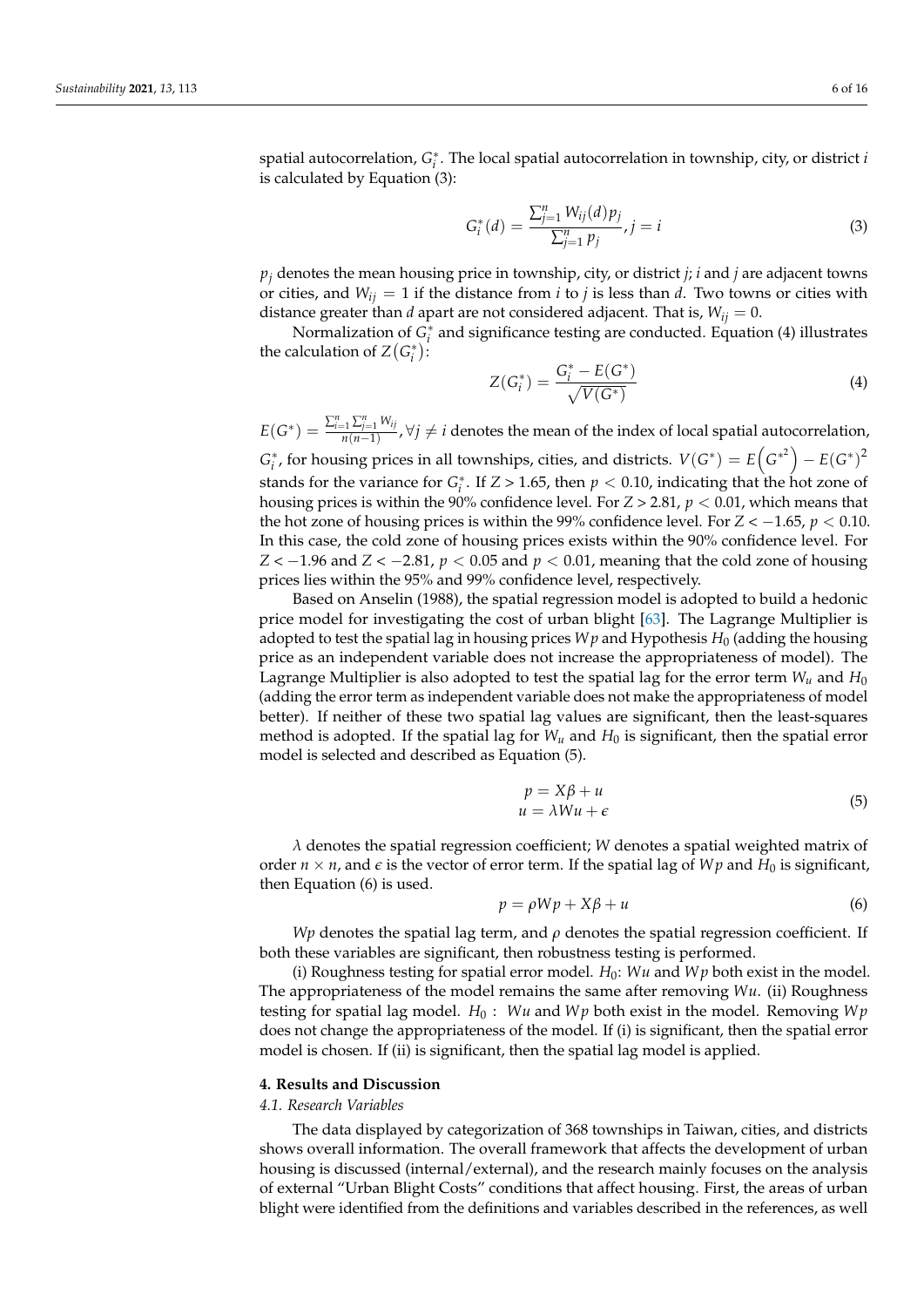spatial autocorrelation, *G* ∗ *i* . The local spatial autocorrelation in township, city, or district *i* is calculated by Equation (3):

$$
G_i^*(d) = \frac{\sum_{j=1}^n W_{ij}(d)p_j}{\sum_{j=1}^n p_j}, j = i
$$
\n(3)

*p<sup>j</sup>* denotes the mean housing price in township, city, or district *j*; *i* and *j* are adjacent towns or cities, and  $W_{ij} = 1$  if the distance from *i* to *j* is less than *d*. Two towns or cities with distance greater than *d* apart are not considered adjacent. That is,  $W_{ij} = 0$ .

Normalization of  $\overline{G}_i^*$  and significance testing are conducted. Equation (4) illustrates the calculation of  $Z(G_i^*)$ :

$$
Z(G_i^*) = \frac{G_i^* - E(G^*)}{\sqrt{V(G^*)}}
$$
\n(4)

 $E(G^*) = \frac{\sum_{i=1}^n \sum_{j=1}^n W_{ij}}{n(n-1)}$  $\frac{p_1 \sum_{j=1}^{n} V_{ij}}{n(n-1)}$ ,  $\forall j \neq i$  denotes the mean of the index of local spatial autocorrelation,

 $G_i^*$ , for housing prices in all townships, cities, and districts.  $V(G^*) = E(G^{*^2}) - E(G^*)^2$ stands for the variance for  $G_i^*$ . If  $Z > 1.65$ , then  $p < 0.10$ , indicating that the hot zone of housing prices is within the 90% confidence level. For *Z* > 2.81, *p* < 0.01, which means that the hot zone of housing prices is within the 99% confidence level. For  $Z < -1.65$ ,  $p < 0.10$ . In this case, the cold zone of housing prices exists within the 90% confidence level. For *Z* < −1.96 and *Z* < −2.81, *p* < 0.05 and *p* < 0.01, meaning that the cold zone of housing prices lies within the 95% and 99% confidence level, respectively.

Based on Anselin (1988), the spatial regression model is adopted to build a hedonic price model for investigating the cost of urban blight [\[63\]](#page-15-7). The Lagrange Multiplier is adopted to test the spatial lag in housing prices *W p* and Hypothesis  $H_0$  (adding the housing price as an independent variable does not increase the appropriateness of model). The Lagrange Multiplier is also adopted to test the spatial lag for the error term  $W_u$  and  $H_0$ (adding the error term as independent variable does not make the appropriateness of model better). If neither of these two spatial lag values are significant, then the least-squares method is adopted. If the spatial lag for  $W_u$  and  $H_0$  is significant, then the spatial error model is selected and described as Equation (5).

$$
p = X\beta + u
$$
  
 
$$
u = \lambda Wu + \epsilon
$$
 (5)

*λ* denotes the spatial regression coefficient; *W* denotes a spatial weighted matrix of order  $n \times n$ , and  $\epsilon$  is the vector of error term. If the spatial lag of *Wp* and *H*<sub>0</sub> is significant, then Equation (6) is used.

$$
p = \rho W p + X \beta + u \tag{6}
$$

*Wp* denotes the spatial lag term, and *ρ* denotes the spatial regression coefficient. If both these variables are significant, then robustness testing is performed.

(i) Roughness testing for spatial error model.  $H_0$ : *Wu* and *Wp* both exist in the model. The appropriateness of the model remains the same after removing *Wu*. (ii) Roughness testing for spatial lag model.  $H_0$ : *Wu* and *Wp* both exist in the model. Removing *Wp* does not change the appropriateness of the model. If (i) is significant, then the spatial error model is chosen. If (ii) is significant, then the spatial lag model is applied.

#### **4. Results and Discussion**

#### *4.1. Research Variables*

The data displayed by categorization of 368 townships in Taiwan, cities, and districts shows overall information. The overall framework that affects the development of urban housing is discussed (internal/external), and the research mainly focuses on the analysis of external "Urban Blight Costs" conditions that affect housing. First, the areas of urban blight were identified from the definitions and variables described in the references, as well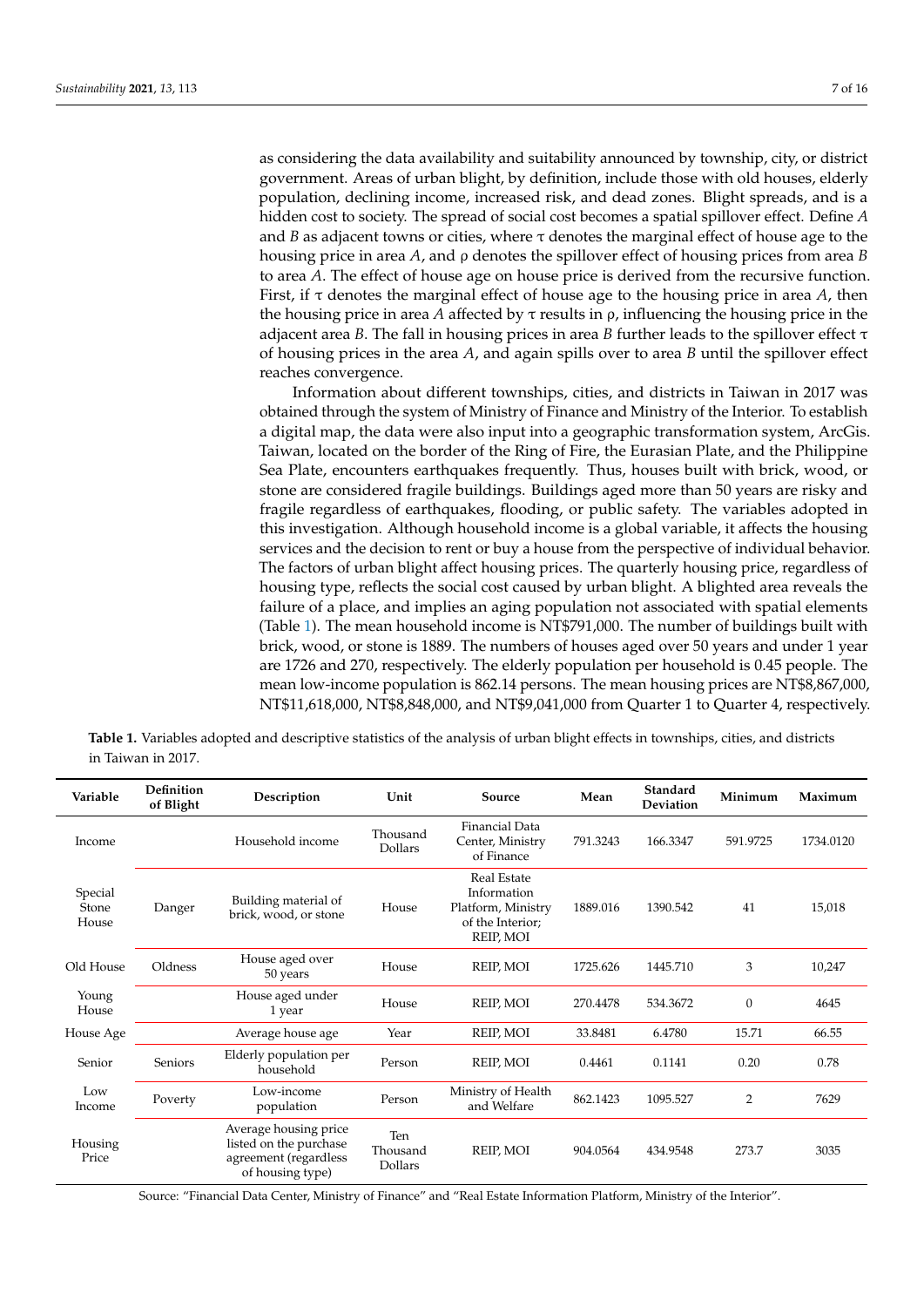as considering the data availability and suitability announced by township, city, or district government. Areas of urban blight, by definition, include those with old houses, elderly population, declining income, increased risk, and dead zones. Blight spreads, and is a hidden cost to society. The spread of social cost becomes a spatial spillover effect. Define *A* and *B* as adjacent towns or cities, where  $\tau$  denotes the marginal effect of house age to the housing price in area *A*, and ρ denotes the spillover effect of housing prices from area *B* to area *A*. The effect of house age on house price is derived from the recursive function. First, if τ denotes the marginal effect of house age to the housing price in area *A*, then the housing price in area *A* affected by  $\tau$  results in  $\rho$ , influencing the housing price in the adjacent area *B*. The fall in housing prices in area *B* further leads to the spillover effect  $\tau$ of housing prices in the area *A*, and again spills over to area *B* until the spillover effect reaches convergence.

Information about different townships, cities, and districts in Taiwan in 2017 was obtained through the system of Ministry of Finance and Ministry of the Interior. To establish a digital map, the data were also input into a geographic transformation system, ArcGis. Taiwan, located on the border of the Ring of Fire, the Eurasian Plate, and the Philippine Sea Plate, encounters earthquakes frequently. Thus, houses built with brick, wood, or stone are considered fragile buildings. Buildings aged more than 50 years are risky and fragile regardless of earthquakes, flooding, or public safety. The variables adopted in this investigation. Although household income is a global variable, it affects the housing services and the decision to rent or buy a house from the perspective of individual behavior. The factors of urban blight affect housing prices. The quarterly housing price, regardless of housing type, reflects the social cost caused by urban blight. A blighted area reveals the failure of a place, and implies an aging population not associated with spatial elements (Table [1\)](#page-6-0). The mean household income is NT\$791,000. The number of buildings built with brick, wood, or stone is 1889. The numbers of houses aged over 50 years and under 1 year are 1726 and 270, respectively. The elderly population per household is 0.45 people. The mean low-income population is 862.14 persons. The mean housing prices are NT\$8,867,000, NT\$11,618,000, NT\$8,848,000, and NT\$9,041,000 from Quarter 1 to Quarter 4, respectively.

<span id="page-6-0"></span>

| Table 1. Variables adopted and descriptive statistics of the analysis of urban blight effects in townships, cities, and districts |  |  |  |  |  |
|-----------------------------------------------------------------------------------------------------------------------------------|--|--|--|--|--|
| in Taiwan in 2017.                                                                                                                |  |  |  |  |  |

| Variable                  | <b>Definition</b><br>of Blight | Description                                                                                  | Unit                       | Source                                                                            | Mean     | Standard<br>Deviation | Minimum          | Maximum   |
|---------------------------|--------------------------------|----------------------------------------------------------------------------------------------|----------------------------|-----------------------------------------------------------------------------------|----------|-----------------------|------------------|-----------|
| Income                    |                                | Household income                                                                             | Thousand<br>Dollars        | Financial Data<br>Center, Ministry<br>of Finance                                  | 791.3243 | 166.3347              | 591.9725         | 1734.0120 |
| Special<br>Stone<br>House | Danger                         | Building material of<br>brick, wood, or stone                                                | House                      | Real Estate<br>Information<br>Platform, Ministry<br>of the Interior;<br>REIP, MOI | 1889.016 | 1390.542              | 41               | 15,018    |
| Old House                 | Oldness                        | House aged over<br>50 years                                                                  | House                      | REIP, MOI                                                                         | 1725.626 | 1445.710              | 3                | 10,247    |
| Young<br>House            |                                | House aged under<br>1 year                                                                   | House                      | REIP, MOI                                                                         | 270.4478 | 534.3672              | $\boldsymbol{0}$ | 4645      |
| House Age                 |                                | Average house age                                                                            | Year                       | REIP, MOI                                                                         | 33.8481  | 6.4780                | 15.71            | 66.55     |
| Senior                    | Seniors                        | Elderly population per<br>household                                                          | Person                     | REIP, MOI                                                                         | 0.4461   | 0.1141                | 0.20             | 0.78      |
| Low<br>Income             | Poverty                        | Low-income<br>population                                                                     | Person                     | Ministry of Health<br>and Welfare                                                 | 862.1423 | 1095.527              | 2                | 7629      |
| Housing<br>Price          |                                | Average housing price<br>listed on the purchase<br>agreement (regardless<br>of housing type) | Ten<br>Thousand<br>Dollars | REIP, MOI                                                                         | 904.0564 | 434.9548              | 273.7            | 3035      |

Source: "Financial Data Center, Ministry of Finance" and "Real Estate Information Platform, Ministry of the Interior".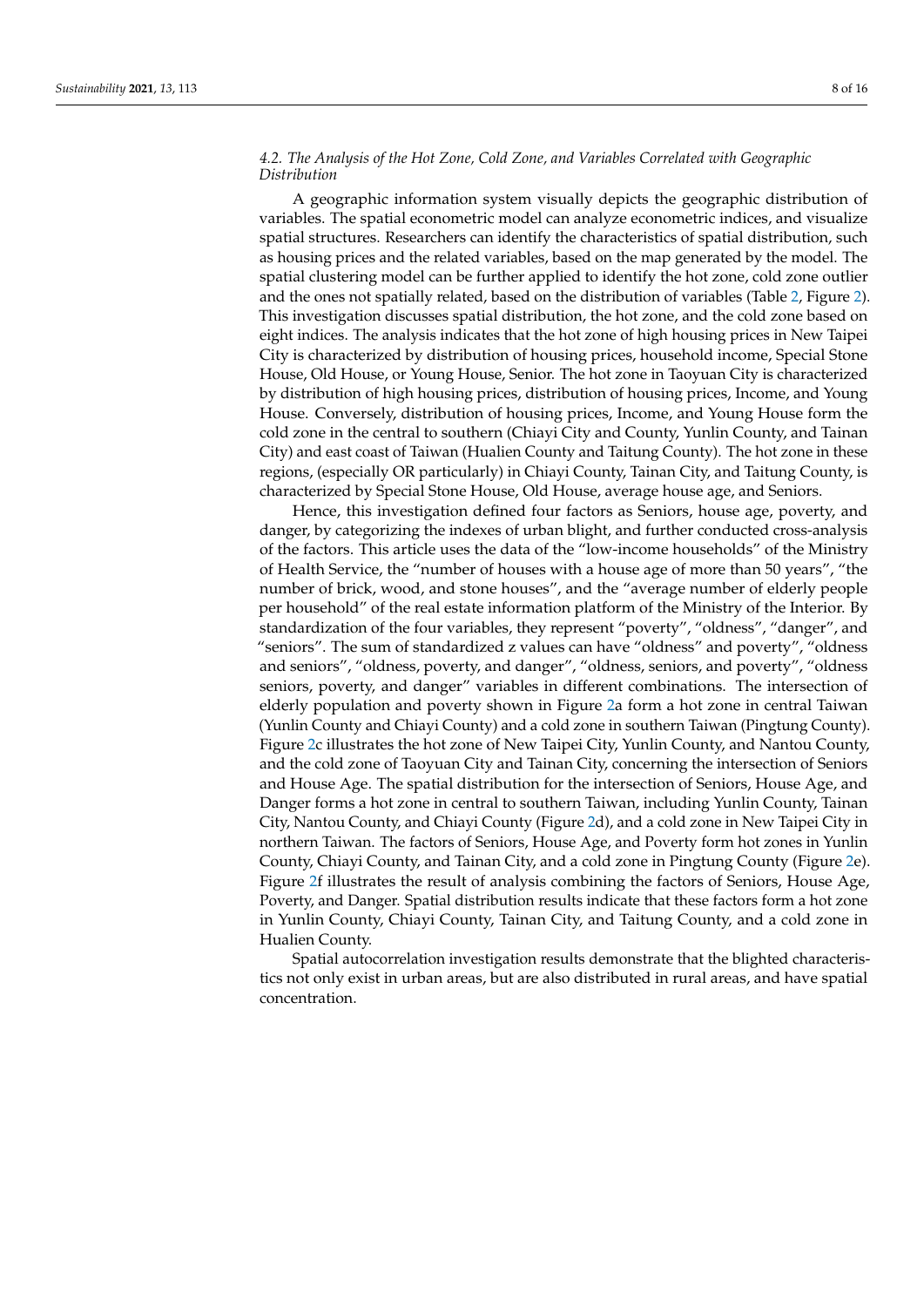## *4.2. The Analysis of the Hot Zone, Cold Zone, and Variables Correlated with Geographic Distribution*

A geographic information system visually depicts the geographic distribution of variables. The spatial econometric model can analyze econometric indices, and visualize spatial structures. Researchers can identify the characteristics of spatial distribution, such as housing prices and the related variables, based on the map generated by the model. The spatial clustering model can be further applied to identify the hot zone, cold zone outlier and the ones not spatially related, based on the distribution of variables (Table [2,](#page-8-0) Figure [2\)](#page-9-0). This investigation discusses spatial distribution, the hot zone, and the cold zone based on eight indices. The analysis indicates that the hot zone of high housing prices in New Taipei City is characterized by distribution of housing prices, household income, Special Stone House, Old House, or Young House, Senior. The hot zone in Taoyuan City is characterized by distribution of high housing prices, distribution of housing prices, Income, and Young House. Conversely, distribution of housing prices, Income, and Young House form the cold zone in the central to southern (Chiayi City and County, Yunlin County, and Tainan City) and east coast of Taiwan (Hualien County and Taitung County). The hot zone in these regions, (especially OR particularly) in Chiayi County, Tainan City, and Taitung County, is characterized by Special Stone House, Old House, average house age, and Seniors.

Hence, this investigation defined four factors as Seniors, house age, poverty, and danger, by categorizing the indexes of urban blight, and further conducted cross-analysis of the factors. This article uses the data of the "low-income households" of the Ministry of Health Service, the "number of houses with a house age of more than 50 years", "the number of brick, wood, and stone houses", and the "average number of elderly people per household" of the real estate information platform of the Ministry of the Interior. By standardization of the four variables, they represent "poverty", "oldness", "danger", and "seniors". The sum of standardized z values can have "oldness" and poverty", "oldness and seniors", "oldness, poverty, and danger", "oldness, seniors, and poverty", "oldness seniors, poverty, and danger" variables in different combinations. The intersection of elderly population and poverty shown in Figure [2a](#page-9-0) form a hot zone in central Taiwan (Yunlin County and Chiayi County) and a cold zone in southern Taiwan (Pingtung County). Figure [2c](#page-9-0) illustrates the hot zone of New Taipei City, Yunlin County, and Nantou County, and the cold zone of Taoyuan City and Tainan City, concerning the intersection of Seniors and House Age. The spatial distribution for the intersection of Seniors, House Age, and Danger forms a hot zone in central to southern Taiwan, including Yunlin County, Tainan City, Nantou County, and Chiayi County (Figure [2d](#page-9-0)), and a cold zone in New Taipei City in northern Taiwan. The factors of Seniors, House Age, and Poverty form hot zones in Yunlin County, Chiayi County, and Tainan City, and a cold zone in Pingtung County (Figure [2e](#page-9-0)). Figure [2f](#page-9-0) illustrates the result of analysis combining the factors of Seniors, House Age, Poverty, and Danger. Spatial distribution results indicate that these factors form a hot zone in Yunlin County, Chiayi County, Tainan City, and Taitung County, and a cold zone in Hualien County.

Spatial autocorrelation investigation results demonstrate that the blighted characteristics not only exist in urban areas, but are also distributed in rural areas, and have spatial concentration.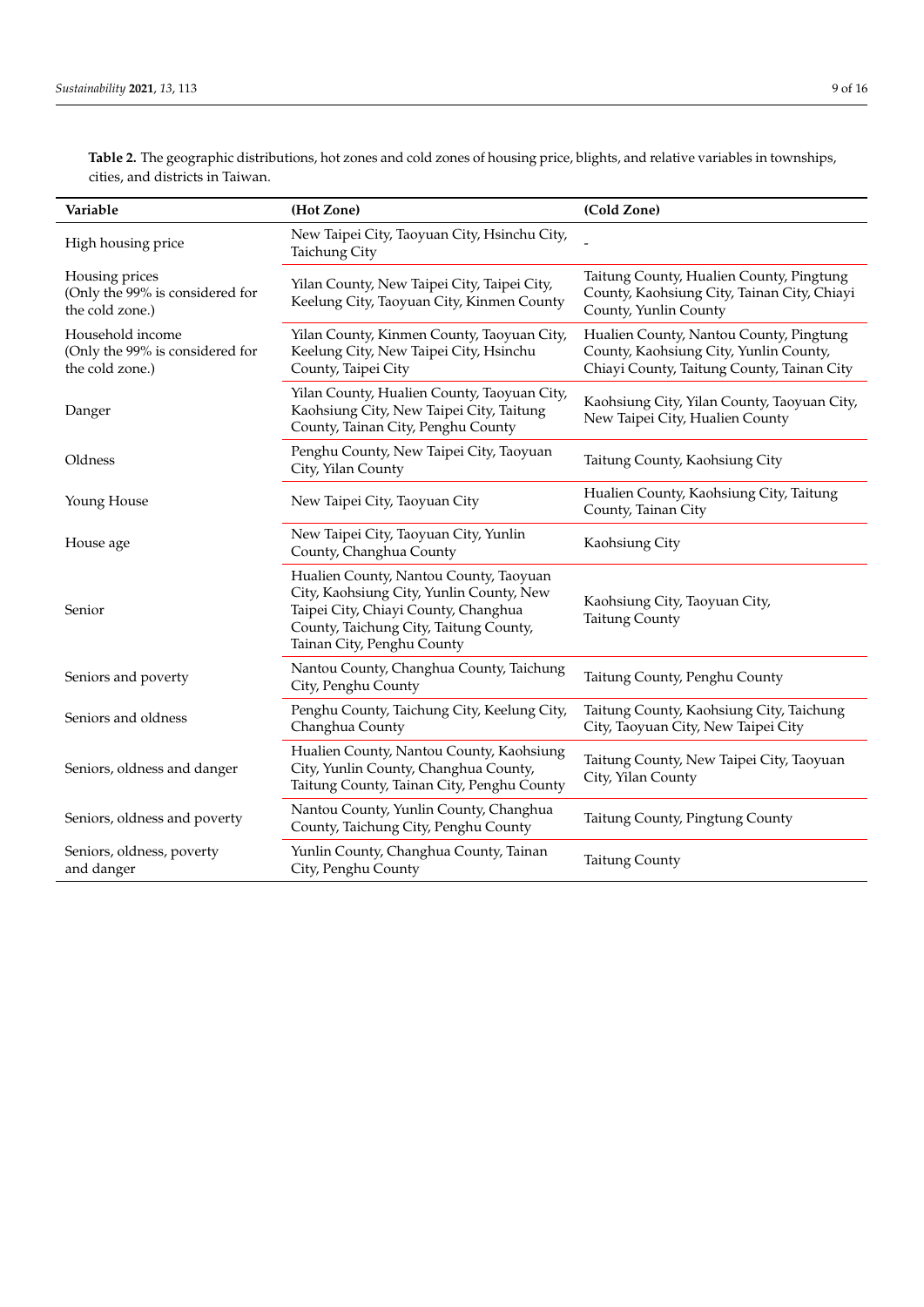**Variable (Hot Zone) (Cold Zone)** High housing price New Taipei City, Taoyuan City, Hsinchu City, Taichung City Housing prices (Only the 99% is considered for the cold zone.) Yilan County, New Taipei City, Taipei City, Keelung City, Taoyuan City, Kinmen County Taitung County, Hualien County, Pingtung County, Kaohsiung City, Tainan City, Chiayi County, Yunlin County Household income (Only the 99% is considered for the cold zone.) Yilan County, Kinmen County, Taoyuan City, Keelung City, New Taipei City, Hsinchu County, Taipei City Hualien County, Nantou County, Pingtung County, Kaohsiung City, Yunlin County, Chiayi County, Taitung County, Tainan City Danger Yilan County, Hualien County, Taoyuan City, Kaohsiung City, New Taipei City, Taitung County, Tainan City, Penghu County Kaohsiung City, Yilan County, Taoyuan City, New Taipei City, Hualien County Oldness Penghu County, New Taipei City, Taoyuan Taitung County, Kaohsiung City Young House New Taipei City, Taoyuan City Hualien County, Kaohsiung City, Taitung County, Tainan City House age New Taipei City, Taoyuan City, Yunlin County, Changhua County Kaohsiung City Senior Hualien County, Nantou County, Taoyuan City, Kaohsiung City, Yunlin County, New Taipei City, Chiayi County, Changhua County, Taichung City, Taitung County, Tainan City, Penghu County Kaohsiung City, Taoyuan City, Taitung County Seniors and poverty Nantou County, Changhua County, Taichung<br>City, Penghu County Taitung County, Penghu County Seniors and oldness Penghu County, Taichung City, Keelung City, Changhua County Taitung County, Kaohsiung City, Taichung City, Taoyuan City, New Taipei City Seniors, oldness and danger Hualien County, Nantou County, Kaohsiung City, Yunlin County, Changhua County, Taitung County, Tainan City, Penghu County Taitung County, New Taipei City, Taoyuan City, Yilan County Seniors, oldness and poverty Nantou County, Yunlin County, Changhua County, Taichung City, Penghu County Taitung County, Pingtung County Seniors, oldness, poverty and danger Yunlin County, Changhua County, Tainan Tailung County, Changhua County, Tailung County<br>City, Penghu County

<span id="page-8-0"></span>**Table 2.** The geographic distributions, hot zones and cold zones of housing price, blights, and relative variables in townships, cities, and districts in Taiwan.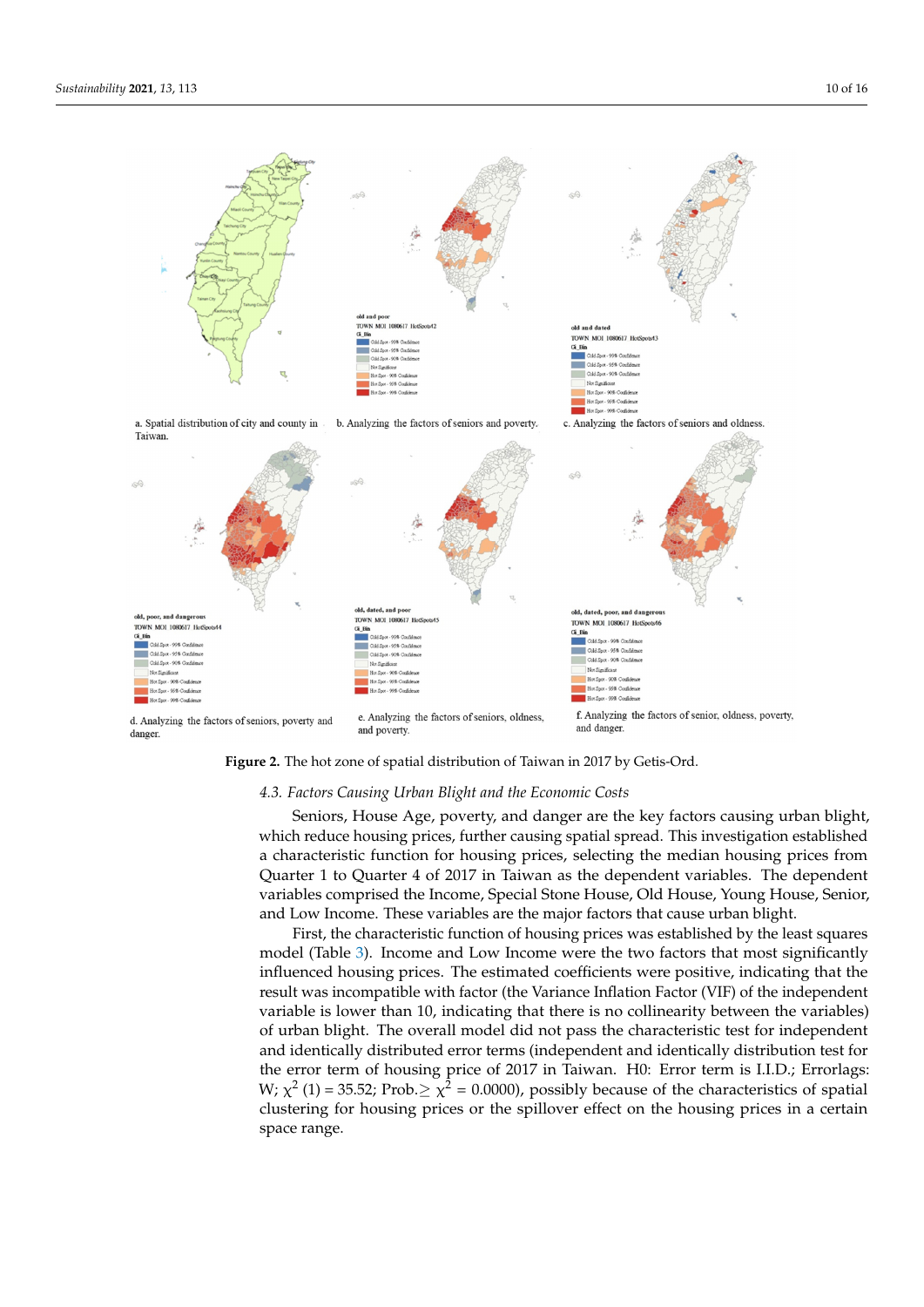<span id="page-9-0"></span>

**Figure 2.** The hot zone of spatial distribution of Taiwan in 2017 by Getis-Ord. **Figure 2.** The hot zone of spatial distribution of Taiwan in 2017 by Getis-Ord.

#### *4.3. Factors Causing Urban Blight and the Economic Costs 4.3. Factors Causing Urban Blight and the Economic Costs*

which reduce housing prices, further causing spatial spread. This investigation established a characteristic function for housing prices, selecting the median housing prices from Quarter 1 to Quarter 4 of 2017 in Taiwan as the dependent variables. The dependent variables comprised the Income, Special Stone House, Old House, Young House, Senior, and Low Income. These variables are the major factors that cause urban blight. Seniors, House Age, poverty, and danger are the key factors causing urban blight,

First, the characteristic function of housing prices was established by the least squares model (Table [3\)](#page-10-0). Income and Low Income were the two factors that most significantly influenced housing prices. The estimated coefficients were positive, indicating that the result was incompatible with factor (the Variance Inflation Factor (VIF) of the independent variable is lower than 10, indicating that there is no collinearity between the variables) of urban blight. The overall model did not pass the characteristic test for independent and identically distributed error terms (independent and identically distribution test for the error term of housing price of 2017 in Taiwan. H0: Error term is I.I.D.; Errorlags: W;  $\chi^2$  (1) = 35.52; Prob. $\geq \chi^2$  = 0.0000), possibly because of the characteristics of spatial clustering for housing prices or the spillover effect on the housing prices in a certain housing prices or the spillover effect on the spinling prices in a certain space range.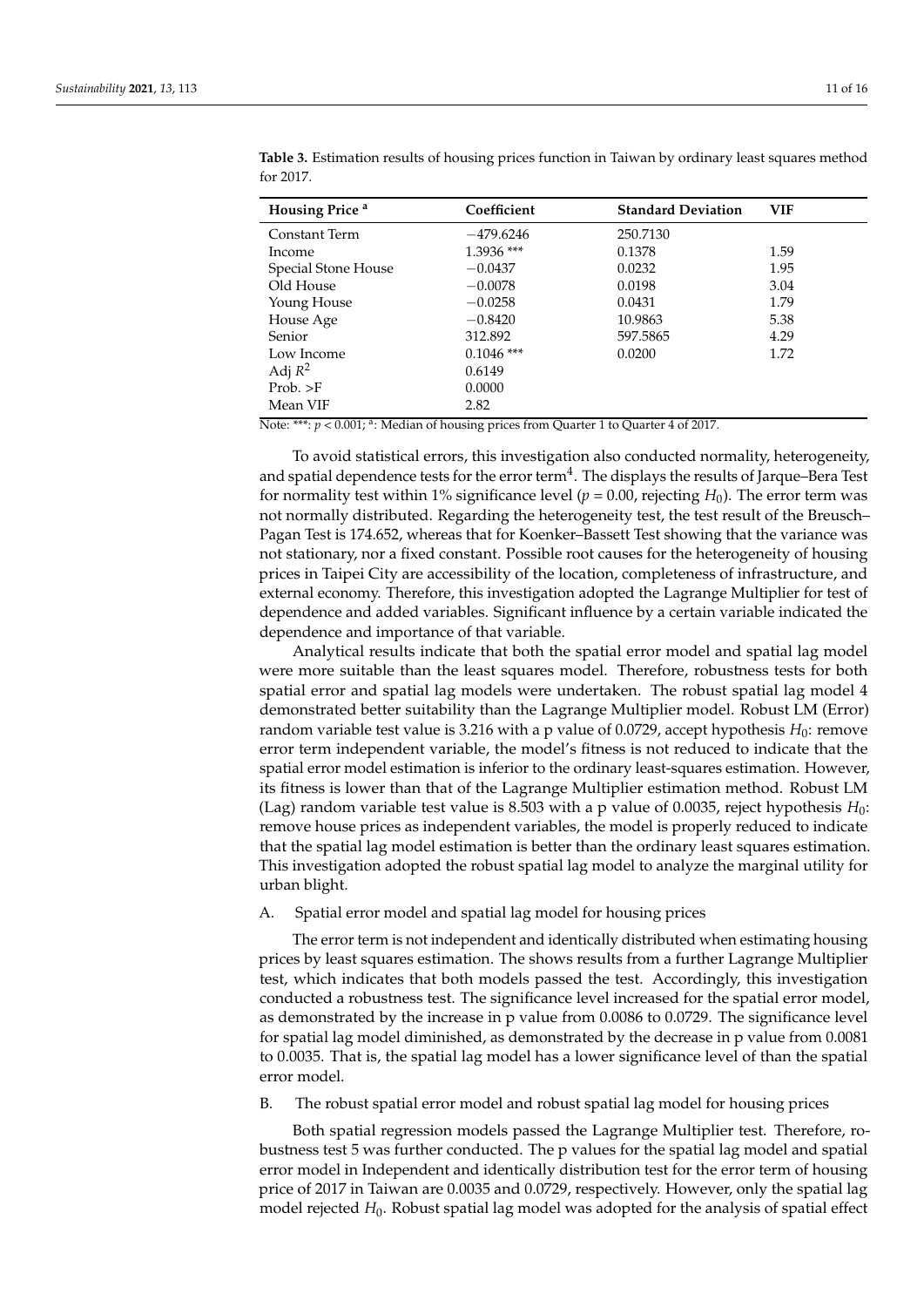| <b>Housing Price</b> a | Coefficient  | <b>Standard Deviation</b> | <b>VIF</b> |
|------------------------|--------------|---------------------------|------------|
| Constant Term          | $-479.6246$  | 250.7130                  |            |
| Income                 | 1.3936 ***   | 0.1378                    | 1.59       |
| Special Stone House    | $-0.0437$    | 0.0232                    | 1.95       |
| Old House              | $-0.0078$    | 0.0198                    | 3.04       |
| Young House            | $-0.0258$    | 0.0431                    | 1.79       |
| House Age              | $-0.8420$    | 10.9863                   | 5.38       |
| Senior                 | 312.892      | 597.5865                  | 4.29       |
| Low Income             | $0.1046$ *** | 0.0200                    | 1.72       |
| Adj $R^2$              | 0.6149       |                           |            |
| Prob. >F               | 0.0000       |                           |            |
| Mean VIF               | 2.82         |                           |            |

<span id="page-10-0"></span>**Table 3.** Estimation results of housing prices function in Taiwan by ordinary least squares method for 2017.

Note: \*\*\*:  $p < 0.001$ ; <sup>a</sup>: Median of housing prices from Quarter 1 to Quarter 4 of 2017.

To avoid statistical errors, this investigation also conducted normality, heterogeneity, and spatial dependence tests for the error term $^4$ . The displays the results of Jarque–Bera Test for normality test within 1% significance level ( $p = 0.00$ , rejecting  $H_0$ ). The error term was not normally distributed. Regarding the heterogeneity test, the test result of the Breusch– Pagan Test is 174.652, whereas that for Koenker–Bassett Test showing that the variance was not stationary, nor a fixed constant. Possible root causes for the heterogeneity of housing prices in Taipei City are accessibility of the location, completeness of infrastructure, and external economy. Therefore, this investigation adopted the Lagrange Multiplier for test of dependence and added variables. Significant influence by a certain variable indicated the dependence and importance of that variable.

Analytical results indicate that both the spatial error model and spatial lag model were more suitable than the least squares model. Therefore, robustness tests for both spatial error and spatial lag models were undertaken. The robust spatial lag model 4 demonstrated better suitability than the Lagrange Multiplier model. Robust LM (Error) random variable test value is 3.216 with a p value of 0.0729, accept hypothesis  $H_0$ : remove error term independent variable, the model's fitness is not reduced to indicate that the spatial error model estimation is inferior to the ordinary least-squares estimation. However, its fitness is lower than that of the Lagrange Multiplier estimation method. Robust LM (Lag) random variable test value is 8.503 with a p value of 0.0035, reject hypothesis  $H_0$ : remove house prices as independent variables, the model is properly reduced to indicate that the spatial lag model estimation is better than the ordinary least squares estimation. This investigation adopted the robust spatial lag model to analyze the marginal utility for urban blight.

A. Spatial error model and spatial lag model for housing prices

The error term is not independent and identically distributed when estimating housing prices by least squares estimation. The shows results from a further Lagrange Multiplier test, which indicates that both models passed the test. Accordingly, this investigation conducted a robustness test. The significance level increased for the spatial error model, as demonstrated by the increase in p value from 0.0086 to 0.0729. The significance level for spatial lag model diminished, as demonstrated by the decrease in p value from 0.0081 to 0.0035. That is, the spatial lag model has a lower significance level of than the spatial error model.

B. The robust spatial error model and robust spatial lag model for housing prices

Both spatial regression models passed the Lagrange Multiplier test. Therefore, robustness test 5 was further conducted. The p values for the spatial lag model and spatial error model in Independent and identically distribution test for the error term of housing price of 2017 in Taiwan are 0.0035 and 0.0729, respectively. However, only the spatial lag model rejected *H*0. Robust spatial lag model was adopted for the analysis of spatial effect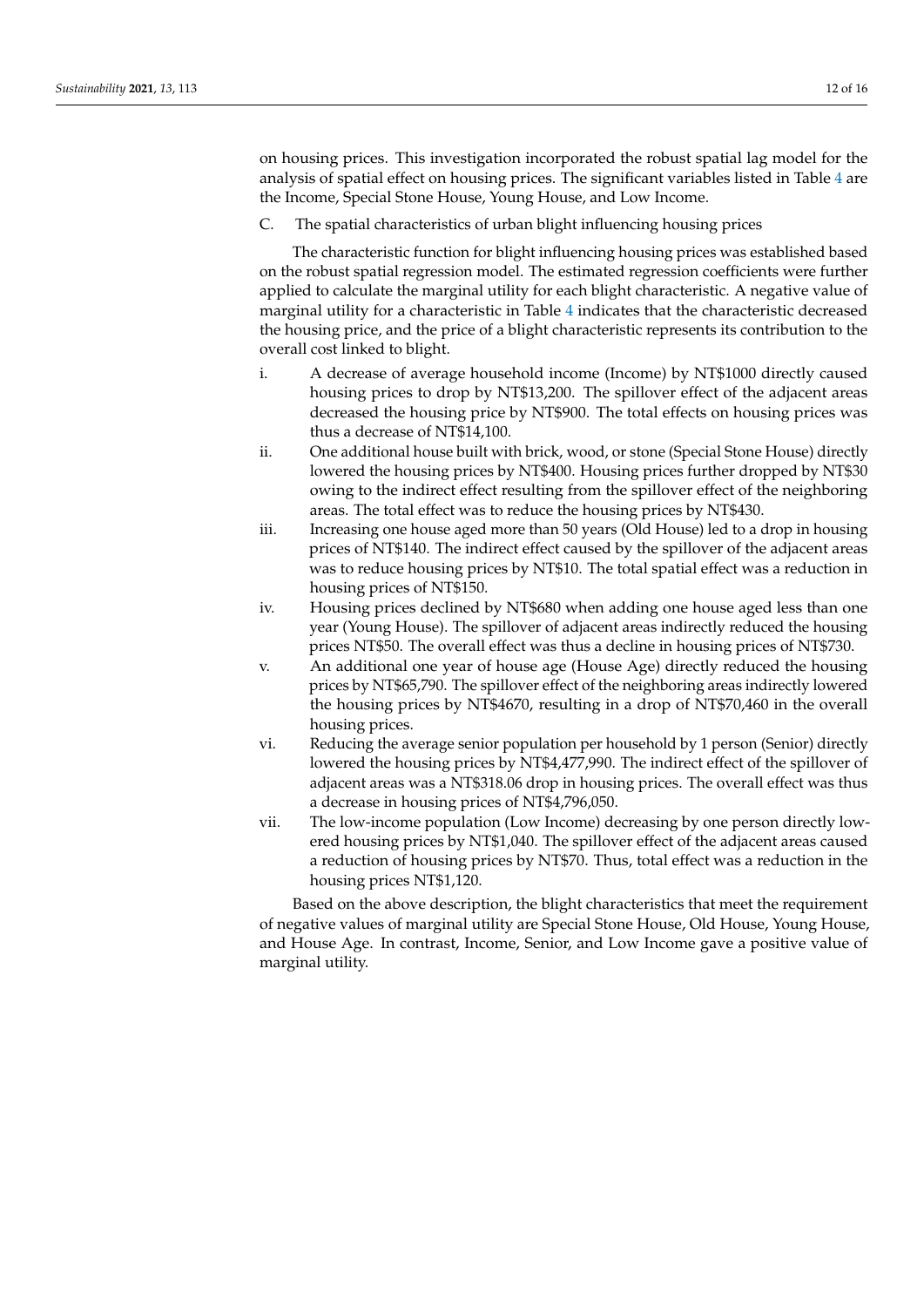on housing prices. This investigation incorporated the robust spatial lag model for the analysis of spatial effect on housing prices. The significant variables listed in Table [4](#page-12-0) are the Income, Special Stone House, Young House, and Low Income.

C. The spatial characteristics of urban blight influencing housing prices

The characteristic function for blight influencing housing prices was established based on the robust spatial regression model. The estimated regression coefficients were further applied to calculate the marginal utility for each blight characteristic. A negative value of marginal utility for a characteristic in Table [4](#page-12-0) indicates that the characteristic decreased the housing price, and the price of a blight characteristic represents its contribution to the overall cost linked to blight.

- i. A decrease of average household income (Income) by NT\$1000 directly caused housing prices to drop by NT\$13,200. The spillover effect of the adjacent areas decreased the housing price by NT\$900. The total effects on housing prices was thus a decrease of NT\$14,100.
- ii. One additional house built with brick, wood, or stone (Special Stone House) directly lowered the housing prices by NT\$400. Housing prices further dropped by NT\$30 owing to the indirect effect resulting from the spillover effect of the neighboring areas. The total effect was to reduce the housing prices by NT\$430.
- iii. Increasing one house aged more than 50 years (Old House) led to a drop in housing prices of NT\$140. The indirect effect caused by the spillover of the adjacent areas was to reduce housing prices by NT\$10. The total spatial effect was a reduction in housing prices of NT\$150.
- iv. Housing prices declined by NT\$680 when adding one house aged less than one year (Young House). The spillover of adjacent areas indirectly reduced the housing prices NT\$50. The overall effect was thus a decline in housing prices of NT\$730.
- v. An additional one year of house age (House Age) directly reduced the housing prices by NT\$65,790. The spillover effect of the neighboring areas indirectly lowered the housing prices by NT\$4670, resulting in a drop of NT\$70,460 in the overall housing prices.
- vi. Reducing the average senior population per household by 1 person (Senior) directly lowered the housing prices by NT\$4,477,990. The indirect effect of the spillover of adjacent areas was a NT\$318.06 drop in housing prices. The overall effect was thus a decrease in housing prices of NT\$4,796,050.
- vii. The low-income population (Low Income) decreasing by one person directly lowered housing prices by NT\$1,040. The spillover effect of the adjacent areas caused a reduction of housing prices by NT\$70. Thus, total effect was a reduction in the housing prices NT\$1,120.

Based on the above description, the blight characteristics that meet the requirement of negative values of marginal utility are Special Stone House, Old House, Young House, and House Age. In contrast, Income, Senior, and Low Income gave a positive value of marginal utility.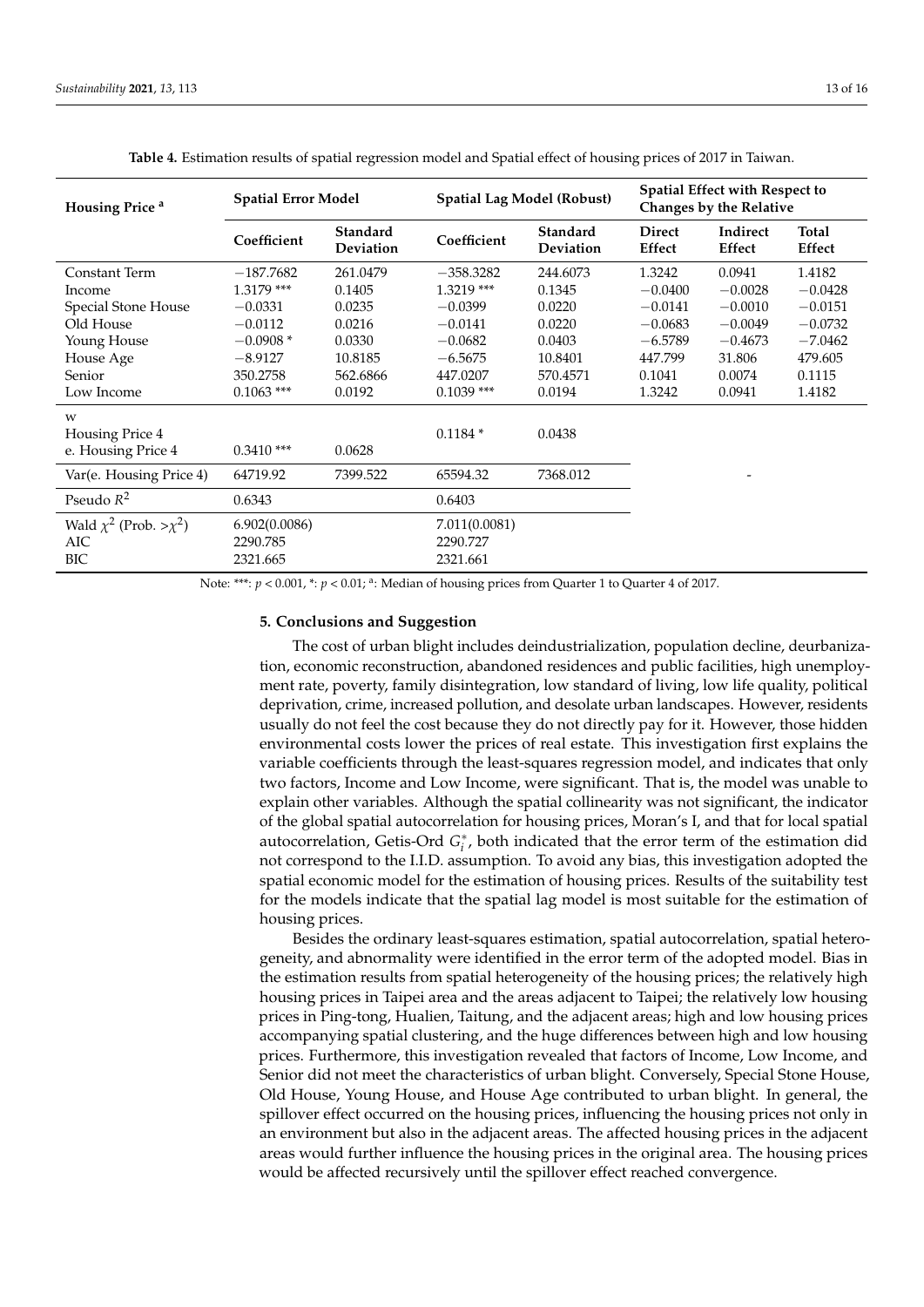<span id="page-12-0"></span>

| Housing Price <sup>a</sup>                             | <b>Spatial Error Model</b>            |                                     | Spatial Lag Model (Robust)            |                       | <b>Spatial Effect with Respect to</b><br>Changes by the Relative |                    |                        |  |
|--------------------------------------------------------|---------------------------------------|-------------------------------------|---------------------------------------|-----------------------|------------------------------------------------------------------|--------------------|------------------------|--|
|                                                        | Coefficient                           | <b>Standard</b><br><b>Deviation</b> | Coefficient                           | Standard<br>Deviation | <b>Direct</b><br>Effect                                          | Indirect<br>Effect | <b>Total</b><br>Effect |  |
| Constant Term                                          | $-187.7682$                           | 261.0479                            | $-358.3282$                           | 244.6073              | 1.3242                                                           | 0.0941             | 1.4182                 |  |
| Income                                                 | 1.3179 ***                            | 0.1405                              | $1.3219$ ***                          | 0.1345                | $-0.0400$                                                        | $-0.0028$          | $-0.0428$              |  |
| Special Stone House                                    | $-0.0331$                             | 0.0235                              | $-0.0399$                             | 0.0220                | $-0.0141$                                                        | $-0.0010$          | $-0.0151$              |  |
| Old House                                              | $-0.0112$                             | 0.0216                              | $-0.0141$                             | 0.0220                | $-0.0683$                                                        | $-0.0049$          | $-0.0732$              |  |
| Young House                                            | $-0.0908*$                            | 0.0330                              | $-0.0682$                             | 0.0403                | $-6.5789$                                                        | $-0.4673$          | $-7.0462$              |  |
| House Age                                              | $-8.9127$                             | 10.8185                             | $-6.5675$                             | 10.8401               | 447.799                                                          | 31.806             | 479.605                |  |
| Senior                                                 | 350.2758                              | 562.6866                            | 447.0207                              | 570.4571              | 0.1041                                                           | 0.0074             | 0.1115                 |  |
| Low Income                                             | $0.1063$ ***                          | 0.0192                              | $0.1039$ ***                          | 0.0194                | 1.3242                                                           | 0.0941             | 1.4182                 |  |
| W<br>Housing Price 4                                   |                                       |                                     | $0.1184*$                             | 0.0438                |                                                                  |                    |                        |  |
| e. Housing Price 4                                     | $0.3410$ ***                          | 0.0628                              |                                       |                       |                                                                  |                    |                        |  |
| Var(e. Housing Price 4)                                | 64719.92                              | 7399.522                            | 65594.32                              | 7368.012              |                                                                  |                    |                        |  |
| Pseudo $R^2$                                           | 0.6343                                |                                     | 0.6403                                |                       |                                                                  |                    |                        |  |
| Wald $\chi^2$ (Prob. > $\chi^2$ )<br>AIC<br><b>BIC</b> | 6.902(0.0086)<br>2290.785<br>2321.665 |                                     | 7.011(0.0081)<br>2290.727<br>2321.661 |                       |                                                                  |                    |                        |  |

**Table 4.** Estimation results of spatial regression model and Spatial effect of housing prices of 2017 in Taiwan.

Note: \*\*\*:  $p < 0.001$ , \*:  $p < 0.01$ ; <sup>a</sup>: Median of housing prices from Quarter 1 to Quarter 4 of 2017.

#### **5. Conclusions and Suggestion**

The cost of urban blight includes deindustrialization, population decline, deurbanization, economic reconstruction, abandoned residences and public facilities, high unemployment rate, poverty, family disintegration, low standard of living, low life quality, political deprivation, crime, increased pollution, and desolate urban landscapes. However, residents usually do not feel the cost because they do not directly pay for it. However, those hidden environmental costs lower the prices of real estate. This investigation first explains the variable coefficients through the least-squares regression model, and indicates that only two factors, Income and Low Income, were significant. That is, the model was unable to explain other variables. Although the spatial collinearity was not significant, the indicator of the global spatial autocorrelation for housing prices, Moran's I, and that for local spatial autocorrelation, Getis-Ord  $G_i^*$ , both indicated that the error term of the estimation did not correspond to the I.I.D. assumption. To avoid any bias, this investigation adopted the spatial economic model for the estimation of housing prices. Results of the suitability test for the models indicate that the spatial lag model is most suitable for the estimation of housing prices.

Besides the ordinary least-squares estimation, spatial autocorrelation, spatial heterogeneity, and abnormality were identified in the error term of the adopted model. Bias in the estimation results from spatial heterogeneity of the housing prices; the relatively high housing prices in Taipei area and the areas adjacent to Taipei; the relatively low housing prices in Ping-tong, Hualien, Taitung, and the adjacent areas; high and low housing prices accompanying spatial clustering, and the huge differences between high and low housing prices. Furthermore, this investigation revealed that factors of Income, Low Income, and Senior did not meet the characteristics of urban blight. Conversely, Special Stone House, Old House, Young House, and House Age contributed to urban blight. In general, the spillover effect occurred on the housing prices, influencing the housing prices not only in an environment but also in the adjacent areas. The affected housing prices in the adjacent areas would further influence the housing prices in the original area. The housing prices would be affected recursively until the spillover effect reached convergence.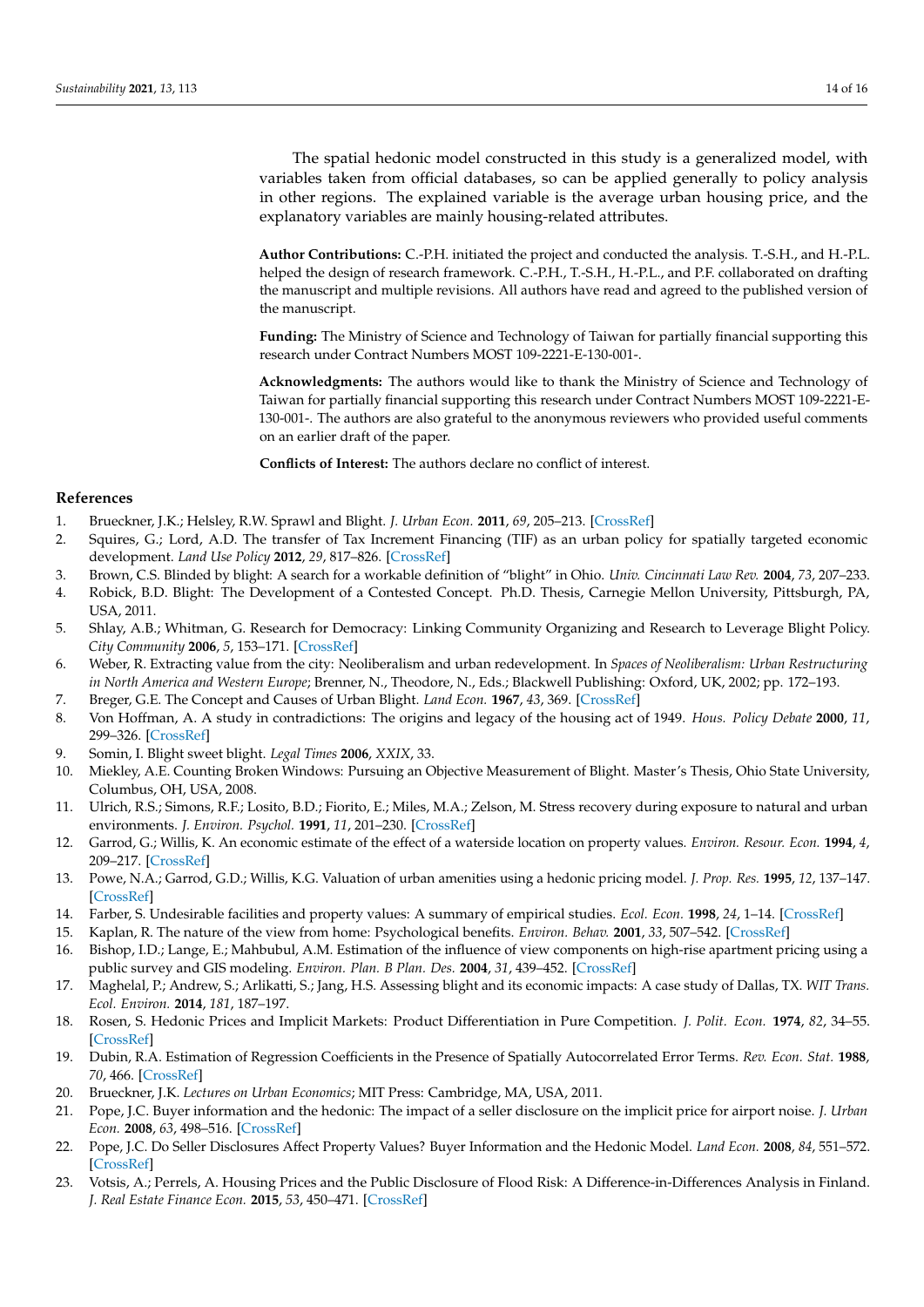The spatial hedonic model constructed in this study is a generalized model, with variables taken from official databases, so can be applied generally to policy analysis in other regions. The explained variable is the average urban housing price, and the explanatory variables are mainly housing-related attributes.

**Author Contributions:** C.-P.H. initiated the project and conducted the analysis. T.-S.H., and H.-P.L. helped the design of research framework. C.-P.H., T.-S.H., H.-P.L., and P.F. collaborated on drafting the manuscript and multiple revisions. All authors have read and agreed to the published version of the manuscript.

**Funding:** The Ministry of Science and Technology of Taiwan for partially financial supporting this research under Contract Numbers MOST 109-2221-E-130-001-.

**Acknowledgments:** The authors would like to thank the Ministry of Science and Technology of Taiwan for partially financial supporting this research under Contract Numbers MOST 109-2221-E-130-001-. The authors are also grateful to the anonymous reviewers who provided useful comments on an earlier draft of the paper.

**Conflicts of Interest:** The authors declare no conflict of interest.

#### **References**

- <span id="page-13-0"></span>1. Brueckner, J.K.; Helsley, R.W. Sprawl and Blight. *J. Urban Econ.* **2011**, *69*, 205–213. [\[CrossRef\]](http://dx.doi.org/10.1016/j.jue.2010.09.003)
- <span id="page-13-1"></span>2. Squires, G.; Lord, A.D. The transfer of Tax Increment Financing (TIF) as an urban policy for spatially targeted economic development. *Land Use Policy* **2012**, *29*, 817–826. [\[CrossRef\]](http://dx.doi.org/10.1016/j.landusepol.2011.12.007)
- <span id="page-13-2"></span>3. Brown, C.S. Blinded by blight: A search for a workable definition of "blight" in Ohio. *Univ. Cincinnati Law Rev.* **2004**, *73*, 207–233.
- 4. Robick, B.D. Blight: The Development of a Contested Concept. Ph.D. Thesis, Carnegie Mellon University, Pittsburgh, PA, USA, 2011.
- <span id="page-13-4"></span>5. Shlay, A.B.; Whitman, G. Research for Democracy: Linking Community Organizing and Research to Leverage Blight Policy. *City Community* **2006**, *5*, 153–171. [\[CrossRef\]](http://dx.doi.org/10.1111/j.1540-6040.2006.00167.x)
- <span id="page-13-3"></span>6. Weber, R. Extracting value from the city: Neoliberalism and urban redevelopment. In *Spaces of Neoliberalism: Urban Restructuring in North America and Western Europe*; Brenner, N., Theodore, N., Eds.; Blackwell Publishing: Oxford, UK, 2002; pp. 172–193.
- <span id="page-13-5"></span>7. Breger, G.E. The Concept and Causes of Urban Blight. *Land Econ.* **1967**, *43*, 369. [\[CrossRef\]](http://dx.doi.org/10.2307/3145542)
- <span id="page-13-6"></span>8. Von Hoffman, A. A study in contradictions: The origins and legacy of the housing act of 1949. *Hous. Policy Debate* **2000**, *11*, 299–326. [\[CrossRef\]](http://dx.doi.org/10.1080/10511482.2000.9521370)
- <span id="page-13-7"></span>9. Somin, I. Blight sweet blight. *Legal Times* **2006**, *XXIX*, 33.
- <span id="page-13-8"></span>10. Miekley, A.E. Counting Broken Windows: Pursuing an Objective Measurement of Blight. Master's Thesis, Ohio State University, Columbus, OH, USA, 2008.
- <span id="page-13-9"></span>11. Ulrich, R.S.; Simons, R.F.; Losito, B.D.; Fiorito, E.; Miles, M.A.; Zelson, M. Stress recovery during exposure to natural and urban environments. *J. Environ. Psychol.* **1991**, *11*, 201–230. [\[CrossRef\]](http://dx.doi.org/10.1016/S0272-4944(05)80184-7)
- 12. Garrod, G.; Willis, K. An economic estimate of the effect of a waterside location on property values. *Environ. Resour. Econ.* **1994**, *4*, 209–217. [\[CrossRef\]](http://dx.doi.org/10.1007/BF00692204)
- 13. Powe, N.A.; Garrod, G.D.; Willis, K.G. Valuation of urban amenities using a hedonic pricing model. *J. Prop. Res.* **1995**, *12*, 137–147. [\[CrossRef\]](http://dx.doi.org/10.1080/09599919508724137)
- 14. Farber, S. Undesirable facilities and property values: A summary of empirical studies. *Ecol. Econ.* **1998**, *24*, 1–14. [\[CrossRef\]](http://dx.doi.org/10.1016/S0921-8009(97)00038-4)
- 15. Kaplan, R. The nature of the view from home: Psychological benefits. *Environ. Behav.* **2001**, *33*, 507–542. [\[CrossRef\]](http://dx.doi.org/10.1177/00139160121973115)
- <span id="page-13-10"></span>16. Bishop, I.D.; Lange, E.; Mahbubul, A.M. Estimation of the influence of view components on high-rise apartment pricing using a public survey and GIS modeling. *Environ. Plan. B Plan. Des.* **2004**, *31*, 439–452. [\[CrossRef\]](http://dx.doi.org/10.1068/b3042)
- <span id="page-13-11"></span>17. Maghelal, P.; Andrew, S.; Arlikatti, S.; Jang, H.S. Assessing blight and its economic impacts: A case study of Dallas, TX. *WIT Trans. Ecol. Environ.* **2014**, *181*, 187–197.
- <span id="page-13-12"></span>18. Rosen, S. Hedonic Prices and Implicit Markets: Product Differentiation in Pure Competition. *J. Polit. Econ.* **1974**, *82*, 34–55. [\[CrossRef\]](http://dx.doi.org/10.1086/260169)
- 19. Dubin, R.A. Estimation of Regression Coefficients in the Presence of Spatially Autocorrelated Error Terms. *Rev. Econ. Stat.* **1988**, *70*, 466. [\[CrossRef\]](http://dx.doi.org/10.2307/1926785)
- <span id="page-13-13"></span>20. Brueckner, J.K. *Lectures on Urban Economics*; MIT Press: Cambridge, MA, USA, 2011.
- <span id="page-13-14"></span>21. Pope, J.C. Buyer information and the hedonic: The impact of a seller disclosure on the implicit price for airport noise. *J. Urban Econ.* **2008**, *63*, 498–516. [\[CrossRef\]](http://dx.doi.org/10.1016/j.jue.2007.03.003)
- <span id="page-13-15"></span>22. Pope, J.C. Do Seller Disclosures Affect Property Values? Buyer Information and the Hedonic Model. *Land Econ.* **2008**, *84*, 551–572. [\[CrossRef\]](http://dx.doi.org/10.3368/le.84.4.551)
- <span id="page-13-16"></span>23. Votsis, A.; Perrels, A. Housing Prices and the Public Disclosure of Flood Risk: A Difference-in-Differences Analysis in Finland. *J. Real Estate Finance Econ.* **2015**, *53*, 450–471. [\[CrossRef\]](http://dx.doi.org/10.1007/s11146-015-9530-3)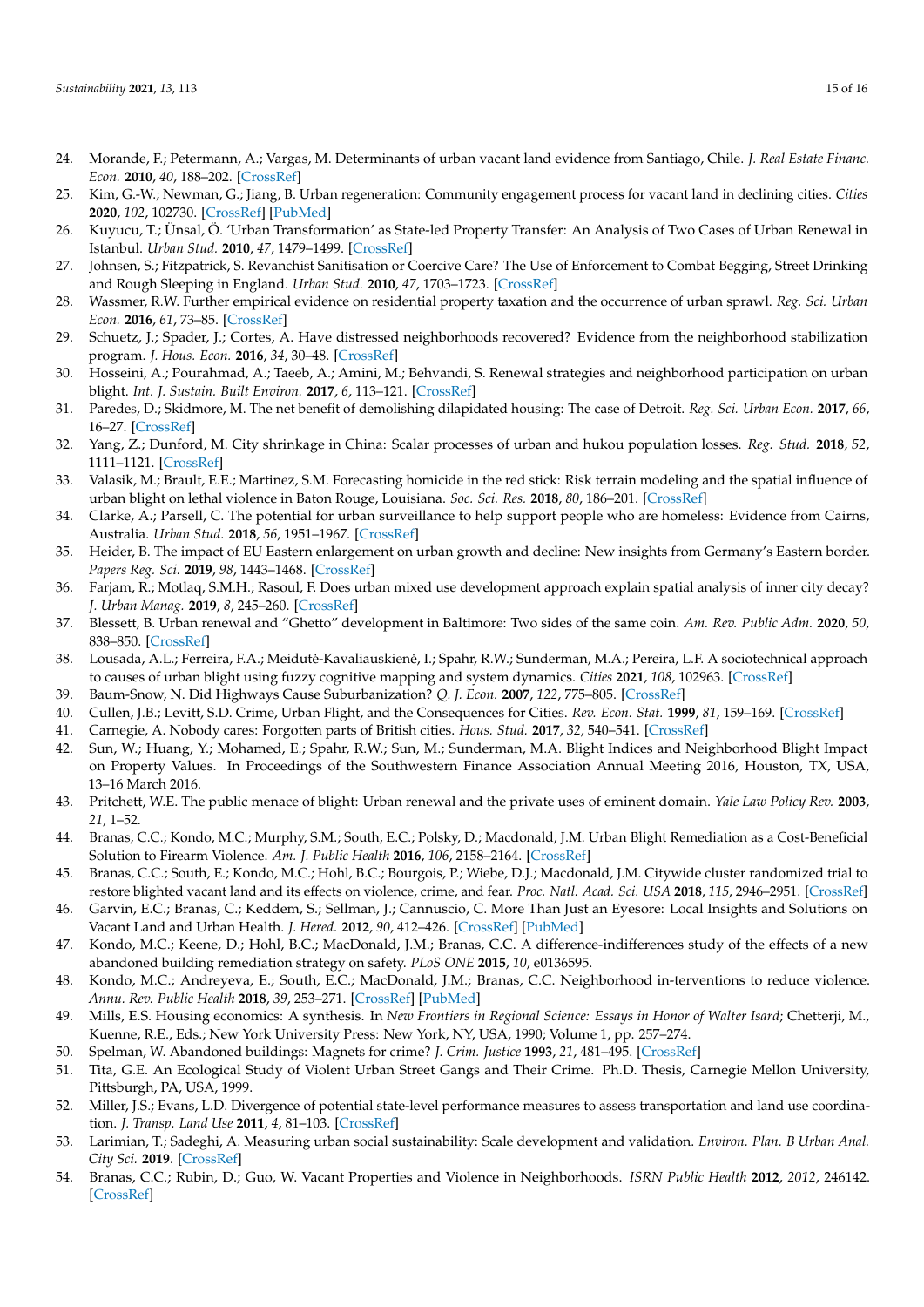- <span id="page-14-0"></span>24. Morande, F.; Petermann, A.; Vargas, M. Determinants of urban vacant land evidence from Santiago, Chile. *J. Real Estate Financ. Econ.* **2010**, *40*, 188–202. [\[CrossRef\]](http://dx.doi.org/10.1007/s11146-008-9123-5)
- <span id="page-14-1"></span>25. Kim, G.-W.; Newman, G.; Jiang, B. Urban regeneration: Community engagement process for vacant land in declining cities. *Cities* **2020**, *102*, 102730. [\[CrossRef\]](http://dx.doi.org/10.1016/j.cities.2020.102730) [\[PubMed\]](http://www.ncbi.nlm.nih.gov/pubmed/32831449)
- <span id="page-14-2"></span>26. Kuyucu, T.; Ünsal, Ö. 'Urban Transformation' as State-led Property Transfer: An Analysis of Two Cases of Urban Renewal in Istanbul. *Urban Stud.* **2010**, *47*, 1479–1499. [\[CrossRef\]](http://dx.doi.org/10.1177/0042098009353629)
- <span id="page-14-3"></span>27. Johnsen, S.; Fitzpatrick, S. Revanchist Sanitisation or Coercive Care? The Use of Enforcement to Combat Begging, Street Drinking and Rough Sleeping in England. *Urban Stud.* **2010**, *47*, 1703–1723. [\[CrossRef\]](http://dx.doi.org/10.1177/0042098009356128)
- 28. Wassmer, R.W. Further empirical evidence on residential property taxation and the occurrence of urban sprawl. *Reg. Sci. Urban Econ.* **2016**, *61*, 73–85. [\[CrossRef\]](http://dx.doi.org/10.1016/j.regsciurbeco.2016.09.006)
- 29. Schuetz, J.; Spader, J.; Cortes, A. Have distressed neighborhoods recovered? Evidence from the neighborhood stabilization program. *J. Hous. Econ.* **2016**, *34*, 30–48. [\[CrossRef\]](http://dx.doi.org/10.1016/j.jhe.2016.07.003)
- 30. Hosseini, A.; Pourahmad, A.; Taeeb, A.; Amini, M.; Behvandi, S. Renewal strategies and neighborhood participation on urban blight. *Int. J. Sustain. Built Environ.* **2017**, *6*, 113–121. [\[CrossRef\]](http://dx.doi.org/10.1016/j.ijsbe.2017.03.004)
- 31. Paredes, D.; Skidmore, M. The net benefit of demolishing dilapidated housing: The case of Detroit. *Reg. Sci. Urban Econ.* **2017**, *66*, 16–27. [\[CrossRef\]](http://dx.doi.org/10.1016/j.regsciurbeco.2017.05.009)
- 32. Yang, Z.; Dunford, M. City shrinkage in China: Scalar processes of urban and hukou population losses. *Reg. Stud.* **2018**, *52*, 1111–1121. [\[CrossRef\]](http://dx.doi.org/10.1080/00343404.2017.1335865)
- <span id="page-14-10"></span>33. Valasik, M.; Brault, E.E.; Martinez, S.M. Forecasting homicide in the red stick: Risk terrain modeling and the spatial influence of urban blight on lethal violence in Baton Rouge, Louisiana. *Soc. Sci. Res.* **2018**, *80*, 186–201. [\[CrossRef\]](http://dx.doi.org/10.1016/j.ssresearch.2018.12.023)
- 34. Clarke, A.; Parsell, C. The potential for urban surveillance to help support people who are homeless: Evidence from Cairns, Australia. *Urban Stud.* **2018**, *56*, 1951–1967. [\[CrossRef\]](http://dx.doi.org/10.1177/0042098018789057)
- 35. Heider, B. The impact of EU Eastern enlargement on urban growth and decline: New insights from Germany's Eastern border. *Papers Reg. Sci.* **2019**, *98*, 1443–1468. [\[CrossRef\]](http://dx.doi.org/10.1111/pirs.12407)
- 36. Farjam, R.; Motlaq, S.M.H.; Rasoul, F. Does urban mixed use development approach explain spatial analysis of inner city decay? *J. Urban Manag.* **2019**, *8*, 245–260. [\[CrossRef\]](http://dx.doi.org/10.1016/j.jum.2019.01.003)
- 37. Blessett, B. Urban renewal and "Ghetto" development in Baltimore: Two sides of the same coin. *Am. Rev. Public Adm.* **2020**, *50*, 838–850. [\[CrossRef\]](http://dx.doi.org/10.1177/0275074020930358)
- <span id="page-14-4"></span>38. Lousada, A.L.; Ferreira, F.A.; Meidutė-Kavaliauskienė, I.; Spahr, R.W.; Sunderman, M.A.; Pereira, L.F. A sociotechnical approach to causes of urban blight using fuzzy cognitive mapping and system dynamics. *Cities* **2021**, *108*, 102963. [\[CrossRef\]](http://dx.doi.org/10.1016/j.cities.2020.102963)
- <span id="page-14-5"></span>39. Baum-Snow, N. Did Highways Cause Suburbanization? *Q. J. Econ.* **2007**, *122*, 775–805. [\[CrossRef\]](http://dx.doi.org/10.1162/qjec.122.2.775)
- <span id="page-14-6"></span>40. Cullen, J.B.; Levitt, S.D. Crime, Urban Flight, and the Consequences for Cities. *Rev. Econ. Stat.* **1999**, *81*, 159–169. [\[CrossRef\]](http://dx.doi.org/10.1162/003465399558030)
- <span id="page-14-7"></span>41. Carnegie, A. Nobody cares: Forgotten parts of British cities. *Hous. Stud.* **2017**, *32*, 540–541. [\[CrossRef\]](http://dx.doi.org/10.1080/02673037.2017.1305695)
- <span id="page-14-8"></span>42. Sun, W.; Huang, Y.; Mohamed, E.; Spahr, R.W.; Sun, M.; Sunderman, M.A. Blight Indices and Neighborhood Blight Impact on Property Values. In Proceedings of the Southwestern Finance Association Annual Meeting 2016, Houston, TX, USA, 13–16 March 2016.
- <span id="page-14-9"></span>43. Pritchett, W.E. The public menace of blight: Urban renewal and the private uses of eminent domain. *Yale Law Policy Rev.* **2003**, *21*, 1–52.
- <span id="page-14-11"></span>44. Branas, C.C.; Kondo, M.C.; Murphy, S.M.; South, E.C.; Polsky, D.; Macdonald, J.M. Urban Blight Remediation as a Cost-Beneficial Solution to Firearm Violence. *Am. J. Public Health* **2016**, *106*, 2158–2164. [\[CrossRef\]](http://dx.doi.org/10.2105/AJPH.2016.303434)
- <span id="page-14-13"></span>45. Branas, C.C.; South, E.; Kondo, M.C.; Hohl, B.C.; Bourgois, P.; Wiebe, D.J.; Macdonald, J.M. Citywide cluster randomized trial to restore blighted vacant land and its effects on violence, crime, and fear. *Proc. Natl. Acad. Sci. USA* **2018**, *115*, 2946–2951. [\[CrossRef\]](http://dx.doi.org/10.1073/pnas.1718503115)
- 46. Garvin, E.C.; Branas, C.; Keddem, S.; Sellman, J.; Cannuscio, C. More Than Just an Eyesore: Local Insights and Solutions on Vacant Land and Urban Health. *J. Hered.* **2012**, *90*, 412–426. [\[CrossRef\]](http://dx.doi.org/10.1007/s11524-012-9782-7) [\[PubMed\]](http://www.ncbi.nlm.nih.gov/pubmed/23188553)
- <span id="page-14-18"></span>47. Kondo, M.C.; Keene, D.; Hohl, B.C.; MacDonald, J.M.; Branas, C.C. A difference-indifferences study of the effects of a new abandoned building remediation strategy on safety. *PLoS ONE* **2015**, *10*, e0136595.
- <span id="page-14-12"></span>48. Kondo, M.C.; Andreyeva, E.; South, E.C.; MacDonald, J.M.; Branas, C.C. Neighborhood in-terventions to reduce violence. *Annu. Rev. Public Health* **2018**, *39*, 253–271. [\[CrossRef\]](http://dx.doi.org/10.1146/annurev-publhealth-040617-014600) [\[PubMed\]](http://www.ncbi.nlm.nih.gov/pubmed/29328874)
- <span id="page-14-14"></span>49. Mills, E.S. Housing economics: A synthesis. In *New Frontiers in Regional Science: Essays in Honor of Walter Isard*; Chetterji, M., Kuenne, R.E., Eds.; New York University Press: New York, NY, USA, 1990; Volume 1, pp. 257–274.
- 50. Spelman, W. Abandoned buildings: Magnets for crime? *J. Crim. Justice* **1993**, *21*, 481–495. [\[CrossRef\]](http://dx.doi.org/10.1016/0047-2352(93)90033-J)
- <span id="page-14-15"></span>51. Tita, G.E. An Ecological Study of Violent Urban Street Gangs and Their Crime. Ph.D. Thesis, Carnegie Mellon University, Pittsburgh, PA, USA, 1999.
- <span id="page-14-16"></span>52. Miller, J.S.; Evans, L.D. Divergence of potential state-level performance measures to assess transportation and land use coordination. *J. Transp. Land Use* **2011**, *4*, 81–103. [\[CrossRef\]](http://dx.doi.org/10.5198/jtlu.v4i3.96)
- <span id="page-14-17"></span>53. Larimian, T.; Sadeghi, A. Measuring urban social sustainability: Scale development and validation. *Environ. Plan. B Urban Anal. City Sci.* **2019**. [\[CrossRef\]](http://dx.doi.org/10.1177/2399808319882950)
- <span id="page-14-19"></span>54. Branas, C.C.; Rubin, D.; Guo, W. Vacant Properties and Violence in Neighborhoods. *ISRN Public Health* **2012**, *2012*, 246142. [\[CrossRef\]](http://dx.doi.org/10.5402/2012/246142)